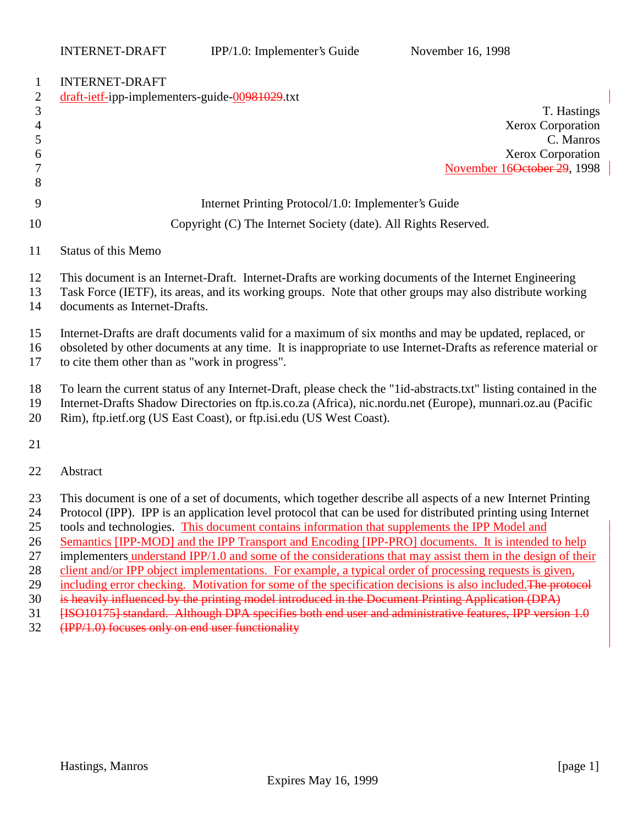# INTEDNET-DRAFT-

| $\bf{1}$       | IN LENNE I-DNAF I                                                                                                |
|----------------|------------------------------------------------------------------------------------------------------------------|
| $\overline{2}$ | draft-ietf-ipp-implementers-guide-00981029.txt                                                                   |
| $\mathfrak{Z}$ | T. Hastings                                                                                                      |
| $\overline{4}$ | Xerox Corporation                                                                                                |
| 5              | C. Manros                                                                                                        |
| 6              | Xerox Corporation                                                                                                |
|                | November 16 <del>October 29</del> , 1998                                                                         |
| 8              |                                                                                                                  |
| 9              | Internet Printing Protocol/1.0: Implementer's Guide                                                              |
| 10             | Copyright (C) The Internet Society (date). All Rights Reserved.                                                  |
| 11             | <b>Status of this Memo</b>                                                                                       |
| 12             | This document is an Internet-Draft. Internet-Drafts are working documents of the Internet Engineering            |
| 13             | Task Force (IETF), its areas, and its working groups. Note that other groups may also distribute working         |
| 14             | documents as Internet-Drafts.                                                                                    |
| 15             | Internet-Drafts are draft documents valid for a maximum of six months and may be updated, replaced, or           |
| 16             | obsoleted by other documents at any time. It is inappropriate to use Internet-Drafts as reference material or    |
| 17             | to cite them other than as "work in progress".                                                                   |
| 18             | To learn the current status of any Internet-Draft, please check the "1id-abstracts.txt" listing contained in the |
| 19             | Internet-Drafts Shadow Directories on ftp.is.co.za (Africa), nic.nordu.net (Europe), munnari.oz.au (Pacific      |
| 20             | Rim), ftp.ietf.org (US East Coast), or ftp.isi.edu (US West Coast).                                              |
| 21             |                                                                                                                  |

Abstract

- This document is one of a set of documents, which together describe all aspects of a new Internet Printing
- Protocol (IPP). IPP is an application level protocol that can be used for distributed printing using Internet
- tools and technologies. This document contains information that supplements the IPP Model and
- Semantics [IPP-MOD] and the IPP Transport and Encoding [IPP-PRO] documents. It is intended to help
- implementers understand IPP/1.0 and some of the considerations that may assist them in the design of their
- 28 client and/or IPP object implementations. For example, a typical order of processing requests is given,
- 29 including error checking. Motivation for some of the specification decisions is also included. The protocol
- is heavily influenced by the printing model introduced in the Document Printing Application (DPA)
- 31 [ISO10175] standard. Although DPA specifies both end user and administrative features, IPP version 1.0
- (IPP/1.0) focuses only on end user functionality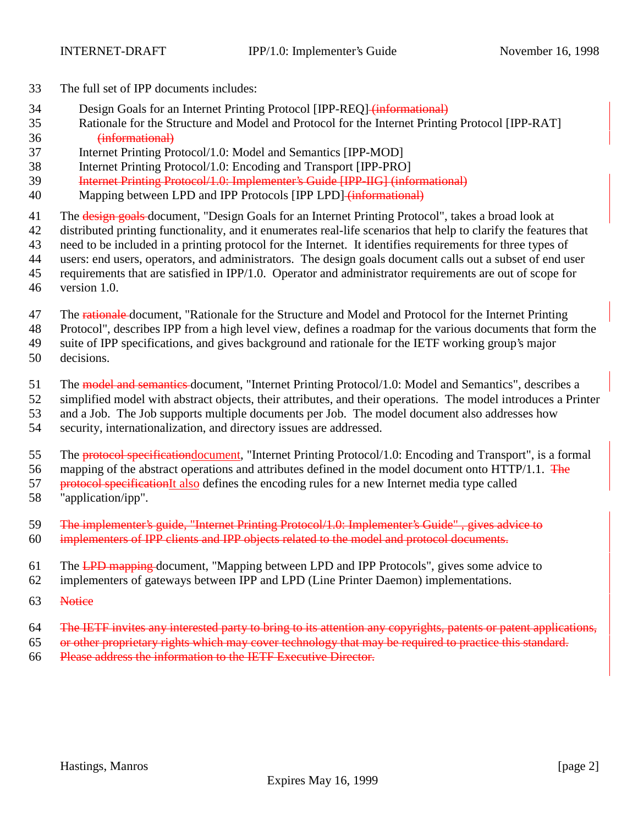- The full set of IPP documents includes:
- 34 Design Goals for an Internet Printing Protocol [IPP-REQ] (informational)
- Rationale for the Structure and Model and Protocol for the Internet Printing Protocol [IPP-RAT] (informational)
- Internet Printing Protocol/1.0: Model and Semantics [IPP-MOD]
- Internet Printing Protocol/1.0: Encoding and Transport [IPP-PRO]
- Internet Printing Protocol/1.0: Implementer's Guide [IPP-IIG] (informational)
- Mapping between LPD and IPP Protocols [IPP LPD] (informational)
- 41 The design goals document, "Design Goals for an Internet Printing Protocol", takes a broad look at
- distributed printing functionality, and it enumerates real-life scenarios that help to clarify the features that
- need to be included in a printing protocol for the Internet. It identifies requirements for three types of
- users: end users, operators, and administrators. The design goals document calls out a subset of end user
- requirements that are satisfied in IPP/1.0. Operator and administrator requirements are out of scope for
- version 1.0.
- 47 The rationale-document, "Rationale for the Structure and Model and Protocol for the Internet Printing
- Protocol", describes IPP from a high level view, defines a roadmap for the various documents that form the
- suite of IPP specifications, and gives background and rationale for the IETF working group's major
- decisions.
- 51 The model and semantics document, "Internet Printing Protocol/1.0: Model and Semantics", describes a
- simplified model with abstract objects, their attributes, and their operations. The model introduces a Printer
- and a Job. The Job supports multiple documents per Job. The model document also addresses how
- security, internationalization, and directory issues are addressed.
- 55 The protocol specification document, "Internet Printing Protocol/1.0: Encoding and Transport", is a formal
- 56 mapping of the abstract operations and attributes defined in the model document onto HTTP/1.1. The
- 57 protocol specificationIt also defines the encoding rules for a new Internet media type called
- "application/ipp".
- The implementer's guide, "Internet Printing Protocol/1.0: Implementer's Guide" , gives advice to
- implementers of IPP clients and IPP objects related to the model and protocol documents.
- 61 The LPD mapping document, "Mapping between LPD and IPP Protocols", gives some advice to
- implementers of gateways between IPP and LPD (Line Printer Daemon) implementations.
- Notice
- 64 The IETF invites any interested party to bring to its attention any copyrights, patents or patent applications,
- or other proprietary rights which may cover technology that may be required to practice this standard.
- Please address the information to the IETF Executive Director.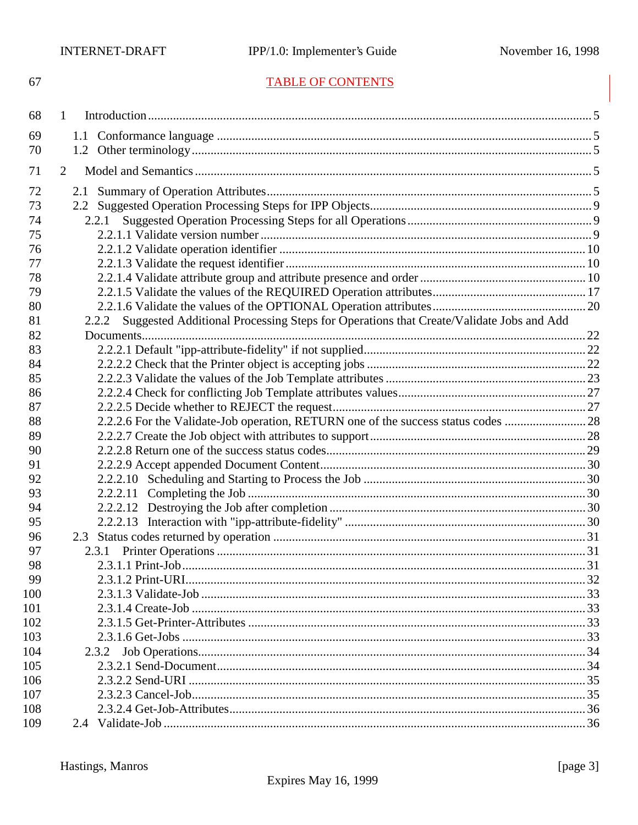# **TABLE OF CONTENTS**

| 68  | 1                                                                                               |  |
|-----|-------------------------------------------------------------------------------------------------|--|
| 69  |                                                                                                 |  |
| 70  |                                                                                                 |  |
| 71  | 2                                                                                               |  |
| 72  | 2.1                                                                                             |  |
| 73  |                                                                                                 |  |
| 74  | 2.2.1                                                                                           |  |
| 75  |                                                                                                 |  |
| 76  |                                                                                                 |  |
| 77  |                                                                                                 |  |
| 78  |                                                                                                 |  |
| 79  |                                                                                                 |  |
| 80  |                                                                                                 |  |
| 81  | Suggested Additional Processing Steps for Operations that Create/Validate Jobs and Add<br>2.2.2 |  |
| 82  |                                                                                                 |  |
| 83  |                                                                                                 |  |
| 84  |                                                                                                 |  |
| 85  |                                                                                                 |  |
| 86  |                                                                                                 |  |
| 87  |                                                                                                 |  |
| 88  | 2.2.2.6 For the Validate-Job operation, RETURN one of the success status codes 28               |  |
| 89  |                                                                                                 |  |
| 90  |                                                                                                 |  |
| 91  |                                                                                                 |  |
| 92  |                                                                                                 |  |
| 93  |                                                                                                 |  |
| 94  |                                                                                                 |  |
| 95  |                                                                                                 |  |
| 96  |                                                                                                 |  |
| 97  | 2.3.1                                                                                           |  |
| 98  |                                                                                                 |  |
| 99  |                                                                                                 |  |
| 100 |                                                                                                 |  |
| 101 |                                                                                                 |  |
| 102 |                                                                                                 |  |
| 103 |                                                                                                 |  |
| 104 | 2.3.2                                                                                           |  |
| 105 |                                                                                                 |  |
| 106 |                                                                                                 |  |
| 107 |                                                                                                 |  |
| 108 |                                                                                                 |  |
| 109 |                                                                                                 |  |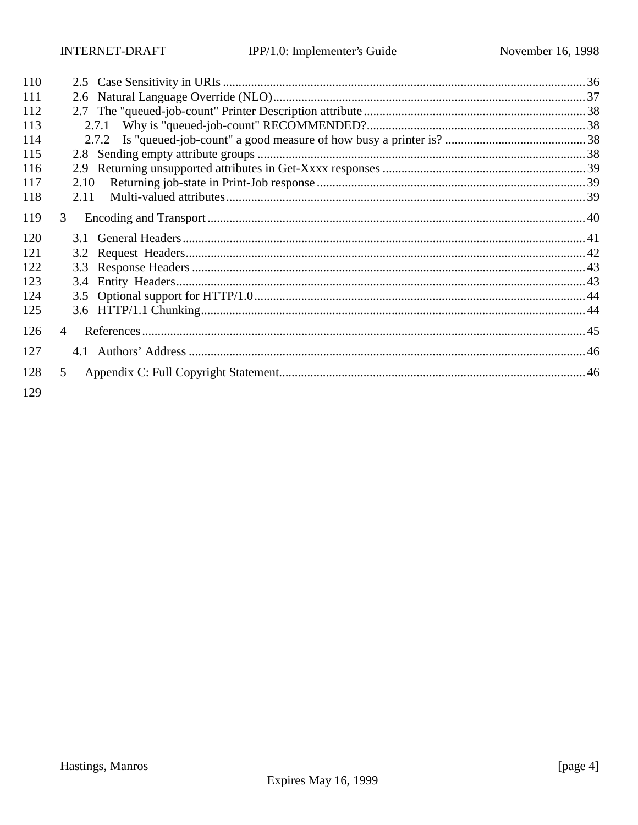Hastings, Manros

[page 4]

| 110 |                |  |
|-----|----------------|--|
| 111 | 2.6            |  |
| 112 |                |  |
|     |                |  |
| 113 |                |  |
| 114 |                |  |
| 115 |                |  |
| 116 | 2.9            |  |
| 117 | 2.10           |  |
| 118 | 2.11           |  |
| 119 | 3 <sup>1</sup> |  |
| 120 |                |  |
| 121 |                |  |
| 122 | 3.3            |  |
| 123 | 3.4            |  |
| 124 |                |  |
| 125 |                |  |
| 126 | $\overline{4}$ |  |
| 127 |                |  |
| 128 | 5 <sup>1</sup> |  |
| 129 |                |  |

Expires May 16, 1999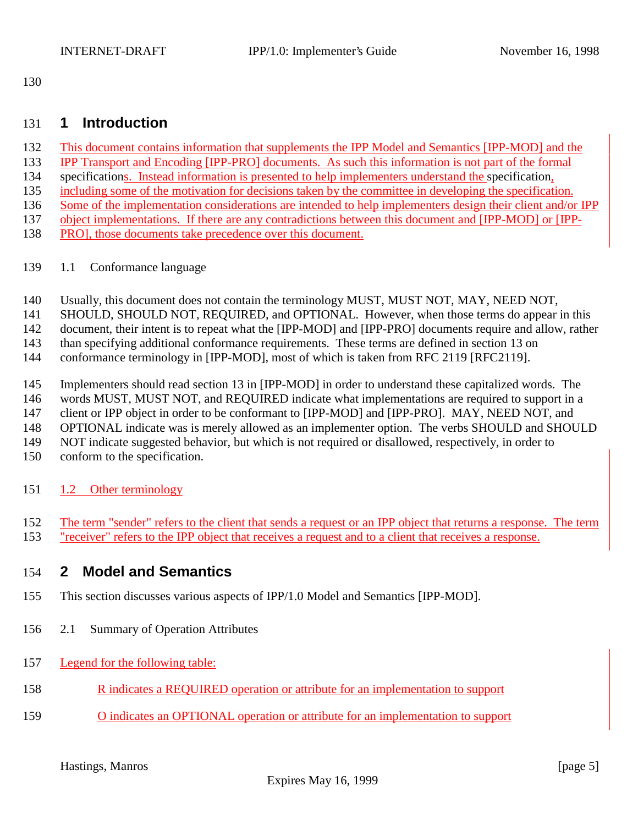# **1 Introduction**

- This document contains information that supplements the IPP Model and Semantics [IPP-MOD] and the
- IPP Transport and Encoding [IPP-PRO] documents. As such this information is not part of the formal
- specifications. Instead information is presented to help implementers understand the specification,
- including some of the motivation for decisions taken by the committee in developing the specification.
- Some of the implementation considerations are intended to help implementers design their client and/or IPP
- object implementations. If there are any contradictions between this document and [IPP-MOD] or [IPP-
- PRO], those documents take precedence over this document.
- 1.1 Conformance language
- Usually, this document does not contain the terminology MUST, MUST NOT, MAY, NEED NOT,
- SHOULD, SHOULD NOT, REQUIRED, and OPTIONAL. However, when those terms do appear in this

document, their intent is to repeat what the [IPP-MOD] and [IPP-PRO] documents require and allow, rather

than specifying additional conformance requirements. These terms are defined in section 13 on

conformance terminology in [IPP-MOD], most of which is taken from RFC 2119 [RFC2119].

- Implementers should read section 13 in [IPP-MOD] in order to understand these capitalized words. The
- words MUST, MUST NOT, and REQUIRED indicate what implementations are required to support in a

147 client or IPP object in order to be conformant to [IPP-MOD] and [IPP-PRO]. MAY, NEED NOT, and

OPTIONAL indicate was is merely allowed as an implementer option. The verbs SHOULD and SHOULD

NOT indicate suggested behavior, but which is not required or disallowed, respectively, in order to

- conform to the specification.
- 151 1.2 Other terminology
- The term "sender" refers to the client that sends a request or an IPP object that returns a response. The term
- "receiver" refers to the IPP object that receives a request and to a client that receives a response.

# **2 Model and Semantics**

- This section discusses various aspects of IPP/1.0 Model and Semantics [IPP-MOD].
- 2.1 Summary of Operation Attributes
- Legend for the following table:
- R indicates a REQUIRED operation or attribute for an implementation to support
- O indicates an OPTIONAL operation or attribute for an implementation to support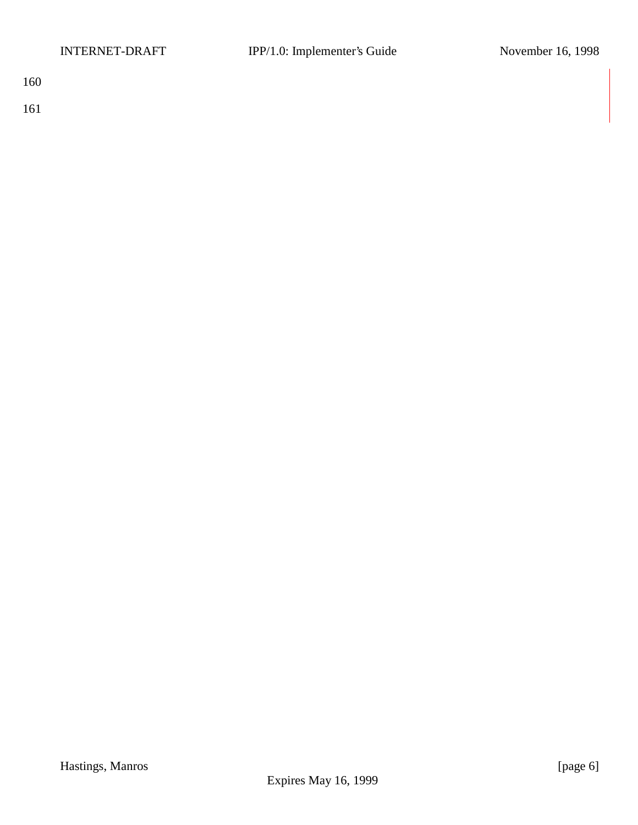161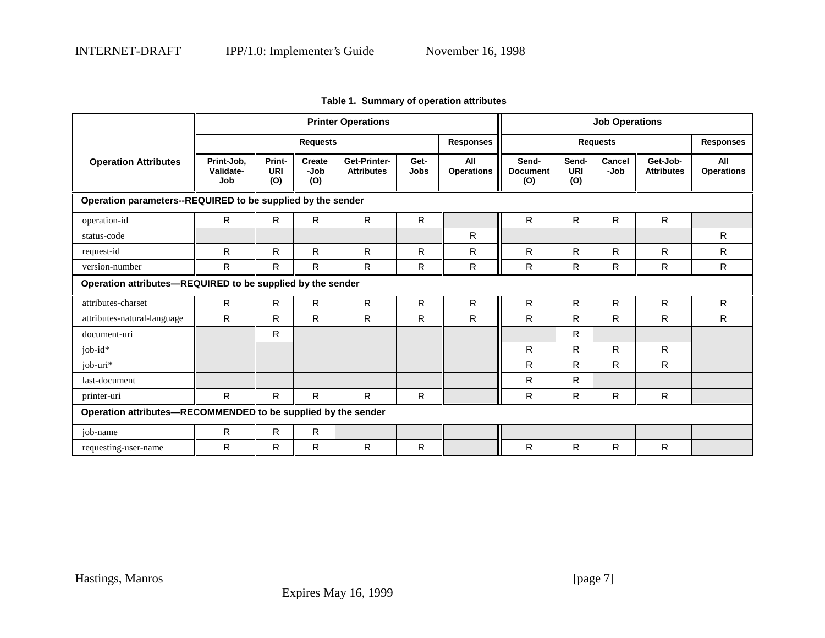| <b>Printer Operations</b>                                     |                                |                             |                       |                                   |              |                          | <b>Job Operations</b>           |                            |                       |                               |                          |
|---------------------------------------------------------------|--------------------------------|-----------------------------|-----------------------|-----------------------------------|--------------|--------------------------|---------------------------------|----------------------------|-----------------------|-------------------------------|--------------------------|
|                                                               | <b>Requests</b>                |                             |                       |                                   |              | <b>Responses</b>         | <b>Requests</b>                 |                            |                       | <b>Responses</b>              |                          |
| <b>Operation Attributes</b>                                   | Print-Job,<br>Validate-<br>Job | Print-<br><b>URI</b><br>(0) | Create<br>-Job<br>(O) | Get-Printer-<br><b>Attributes</b> | Get-<br>Jobs | All<br><b>Operations</b> | Send-<br><b>Document</b><br>(O) | Send-<br><b>URI</b><br>(O) | <b>Cancel</b><br>-Job | Get-Job-<br><b>Attributes</b> | All<br><b>Operations</b> |
| Operation parameters--REQUIRED to be supplied by the sender   |                                |                             |                       |                                   |              |                          |                                 |                            |                       |                               |                          |
| operation-id                                                  | R.                             | R.                          | $\mathsf{R}$          | R                                 | R            |                          | $\mathsf{R}$                    | R.                         | R.                    | R                             |                          |
| status-code                                                   |                                |                             |                       |                                   |              | $\mathsf{R}$             |                                 |                            |                       |                               | R.                       |
| request-id                                                    | R                              | R                           | R.                    | R                                 | R            | R                        | R                               | R.                         | R                     | R                             | R                        |
| version-number                                                | R                              | R                           | $\mathsf{R}$          | R                                 | R.           | R                        | R                               | R                          | $\mathsf{R}$          | R                             | R.                       |
| Operation attributes-REQUIRED to be supplied by the sender    |                                |                             |                       |                                   |              |                          |                                 |                            |                       |                               |                          |
| attributes-charset                                            | $\mathsf{R}$                   | $\mathsf{R}$                | R                     | R                                 | R.           | $\mathsf{R}$             | $\mathsf{R}$                    | R                          | R                     | R                             | R                        |
| attributes-natural-language                                   | R                              | R                           | $\mathsf{R}$          | R                                 | R            | R.                       | R                               | R.                         | R.                    | R.                            | R                        |
| document-uri                                                  |                                | R                           |                       |                                   |              |                          |                                 | R.                         |                       |                               |                          |
| job-id*                                                       |                                |                             |                       |                                   |              |                          | $\mathsf{R}$                    | R                          | R                     | R                             |                          |
| job-uri*                                                      |                                |                             |                       |                                   |              |                          | R                               | R.                         | $\mathsf{R}$          | R                             |                          |
| last-document                                                 |                                |                             |                       |                                   |              |                          | $\mathsf{R}$                    | R                          |                       |                               |                          |
| printer-uri                                                   | R                              | R                           | R.                    | R                                 | R.           |                          | R.                              | R.                         | R                     | R                             |                          |
| Operation attributes-RECOMMENDED to be supplied by the sender |                                |                             |                       |                                   |              |                          |                                 |                            |                       |                               |                          |
| job-name                                                      | $\mathsf{R}$                   | $\mathsf{R}$                | R                     |                                   |              |                          |                                 |                            |                       |                               |                          |
| requesting-user-name                                          | R                              | R                           | R                     | R                                 | R            |                          | R                               | R.                         | R                     | R                             |                          |

|  | Table 1. Summary of operation attributes |  |  |
|--|------------------------------------------|--|--|
|--|------------------------------------------|--|--|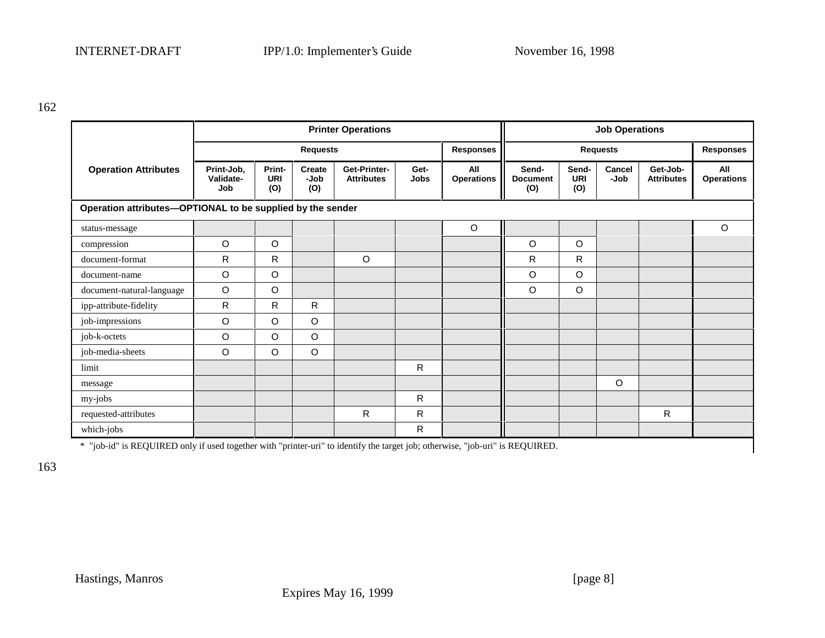| <b>Printer Operations</b>                                                                                                     |                                |                             |                              |                                   |                     |                                     | <b>Job Operations</b>           |                            |                  |                               |                          |
|-------------------------------------------------------------------------------------------------------------------------------|--------------------------------|-----------------------------|------------------------------|-----------------------------------|---------------------|-------------------------------------|---------------------------------|----------------------------|------------------|-------------------------------|--------------------------|
|                                                                                                                               | <b>Requests</b>                |                             |                              |                                   |                     | <b>Responses</b><br><b>Requests</b> |                                 |                            | <b>Responses</b> |                               |                          |
| <b>Operation Attributes</b>                                                                                                   | Print-Job,<br>Validate-<br>Job | Print-<br><b>URI</b><br>(O) | <b>Create</b><br>-Job<br>(O) | Get-Printer-<br><b>Attributes</b> | Get-<br><b>Jobs</b> | All<br><b>Operations</b>            | Send-<br><b>Document</b><br>(O) | Send-<br><b>URI</b><br>(O) | Cancel<br>-Job   | Get-Job-<br><b>Attributes</b> | All<br><b>Operations</b> |
| Operation attributes-OPTIONAL to be supplied by the sender                                                                    |                                |                             |                              |                                   |                     |                                     |                                 |                            |                  |                               |                          |
| status-message                                                                                                                |                                |                             |                              |                                   |                     | $\circ$                             |                                 |                            |                  |                               | O                        |
| compression                                                                                                                   | $\circ$                        | O                           |                              |                                   |                     |                                     | $\circ$                         | $\circ$                    |                  |                               |                          |
| document-format                                                                                                               | R                              | R                           |                              | $\circ$                           |                     |                                     | R                               | $\mathsf{R}$               |                  |                               |                          |
| document-name                                                                                                                 | O                              | O                           |                              |                                   |                     |                                     | $\circ$                         | $\circ$                    |                  |                               |                          |
| document-natural-language                                                                                                     | $\circ$                        | O                           |                              |                                   |                     |                                     | $\circ$                         | $\circ$                    |                  |                               |                          |
| ipp-attribute-fidelity                                                                                                        | $\mathsf{R}$                   | R                           | R                            |                                   |                     |                                     |                                 |                            |                  |                               |                          |
| job-impressions                                                                                                               | O                              | O                           | O                            |                                   |                     |                                     |                                 |                            |                  |                               |                          |
| job-k-octets                                                                                                                  | O                              | O                           | $\mathsf O$                  |                                   |                     |                                     |                                 |                            |                  |                               |                          |
| job-media-sheets                                                                                                              | $\circ$                        | O                           | $\circ$                      |                                   |                     |                                     |                                 |                            |                  |                               |                          |
| limit                                                                                                                         |                                |                             |                              |                                   | R                   |                                     |                                 |                            |                  |                               |                          |
| message                                                                                                                       |                                |                             |                              |                                   |                     |                                     |                                 |                            | $\circ$          |                               |                          |
| my-jobs                                                                                                                       |                                |                             |                              |                                   | R                   |                                     |                                 |                            |                  |                               |                          |
| requested-attributes                                                                                                          |                                |                             |                              | R                                 | $\mathsf{R}$        |                                     |                                 |                            |                  | $\mathsf{R}$                  |                          |
| which-jobs                                                                                                                    |                                |                             |                              |                                   | $\mathsf{R}$        |                                     |                                 |                            |                  |                               |                          |
| * "job-id" is REQUIRED only if used together with "printer-uri" to identify the target job; otherwise, "job-uri" is REQUIRED. |                                |                             |                              |                                   |                     |                                     |                                 |                            |                  |                               |                          |

163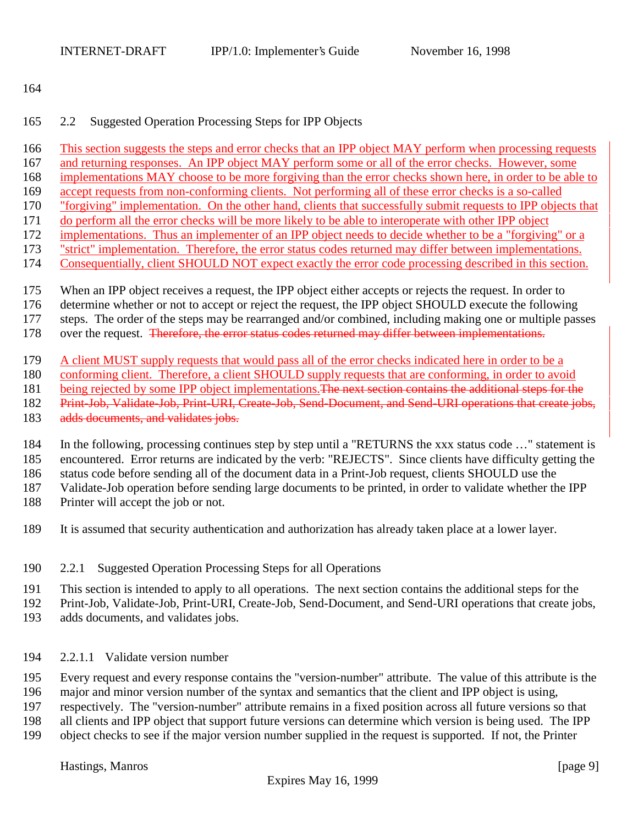#### 2.2 Suggested Operation Processing Steps for IPP Objects

- This section suggests the steps and error checks that an IPP object MAY perform when processing requests
- and returning responses. An IPP object MAY perform some or all of the error checks. However, some
- implementations MAY choose to be more forgiving than the error checks shown here, in order to be able to
- accept requests from non-conforming clients. Not performing all of these error checks is a so-called
- "forgiving" implementation. On the other hand, clients that successfully submit requests to IPP objects that
- do perform all the error checks will be more likely to be able to interoperate with other IPP object
- implementations. Thus an implementer of an IPP object needs to decide whether to be a "forgiving" or a
- "strict" implementation. Therefore, the error status codes returned may differ between implementations.
- Consequentially, client SHOULD NOT expect exactly the error code processing described in this section.
- When an IPP object receives a request, the IPP object either accepts or rejects the request. In order to
- determine whether or not to accept or reject the request, the IPP object SHOULD execute the following
- steps. The order of the steps may be rearranged and/or combined, including making one or multiple passes
- 178 over the request. Therefore, the error status codes returned may differ between implementations.
- A client MUST supply requests that would pass all of the error checks indicated here in order to be a
- conforming client. Therefore, a client SHOULD supply requests that are conforming, in order to avoid
- 181 being rejected by some IPP object implementations. The next section contains the additional steps for the
- 182 Print-Job, Validate-Job, Print-URI, Create-Job, Send-Document, and Send-URI operations that create jobs,
- 183 adds documents, and validates jobs.
- In the following, processing continues step by step until a "RETURNS the xxx status code …" statement is
- encountered. Error returns are indicated by the verb: "REJECTS". Since clients have difficulty getting the
- status code before sending all of the document data in a Print-Job request, clients SHOULD use the
- Validate-Job operation before sending large documents to be printed, in order to validate whether the IPP
- Printer will accept the job or not.
- It is assumed that security authentication and authorization has already taken place at a lower layer.
- 2.2.1 Suggested Operation Processing Steps for all Operations
- This section is intended to apply to all operations. The next section contains the additional steps for the
- Print-Job, Validate-Job, Print-URI, Create-Job, Send-Document, and Send-URI operations that create jobs,
- adds documents, and validates jobs.
- 2.2.1.1 Validate version number
- Every request and every response contains the "version-number" attribute. The value of this attribute is the
- major and minor version number of the syntax and semantics that the client and IPP object is using,
- respectively. The "version-number" attribute remains in a fixed position across all future versions so that
- all clients and IPP object that support future versions can determine which version is being used. The IPP
- object checks to see if the major version number supplied in the request is supported. If not, the Printer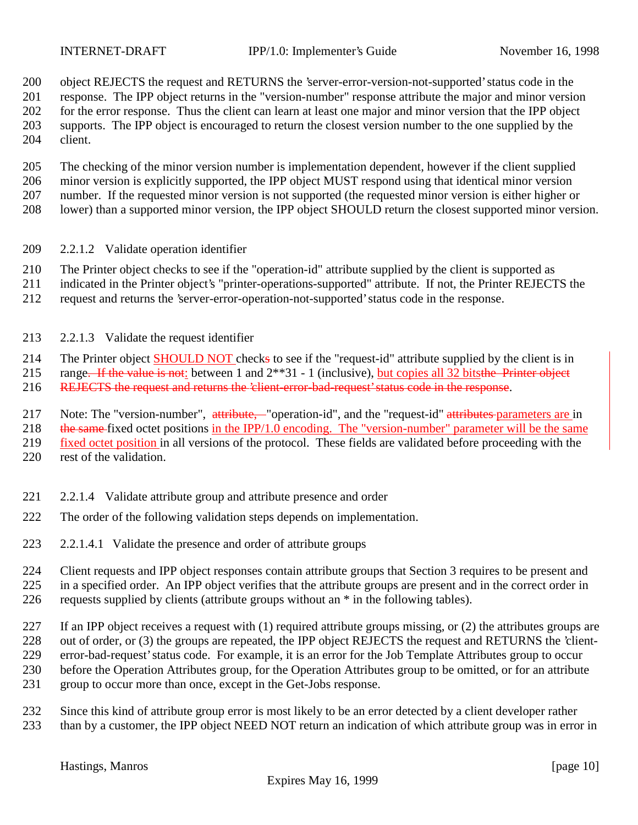object REJECTS the request and RETURNS the 'server-error-version-not-supported' status code in the response. The IPP object returns in the "version-number" response attribute the major and minor version for the error response. Thus the client can learn at least one major and minor version that the IPP object supports. The IPP object is encouraged to return the closest version number to the one supplied by the client.

 The checking of the minor version number is implementation dependent, however if the client supplied minor version is explicitly supported, the IPP object MUST respond using that identical minor version number. If the requested minor version is not supported (the requested minor version is either higher or lower) than a supported minor version, the IPP object SHOULD return the closest supported minor version.

- 2.2.1.2 Validate operation identifier
- The Printer object checks to see if the "operation-id" attribute supplied by the client is supported as
- indicated in the Printer object's "printer-operations-supported" attribute. If not, the Printer REJECTS the
- request and returns the 'server-error-operation-not-supported' status code in the response.
- 2.2.1.3 Validate the request identifier

214 The Printer object **SHOULD NOT** checks to see if the "request-id" attribute supplied by the client is in range. If the value is not: between 1 and  $2^{**}31 - 1$  (inclusive), but copies all 32 bitsthe Printer object range. If the value is not: between 1 and  $2^{**}31 - 1$  (inclusive), but copies all 32 bitsthe Printer object

REJECTS the request and returns the 'client-error-bad-request' status code in the response.

217 Note: The "version-number", attribute, "operation-id", and the "request-id" attributes parameters are in

218 the same fixed octet positions in the IPP/1.0 encoding. The "version-number" parameter will be the same

fixed octet position in all versions of the protocol. These fields are validated before proceeding with the

- 220 rest of the validation.
- 2.2.1.4 Validate attribute group and attribute presence and order
- The order of the following validation steps depends on implementation.
- 2.2.1.4.1 Validate the presence and order of attribute groups

 Client requests and IPP object responses contain attribute groups that Section 3 requires to be present and in a specified order. An IPP object verifies that the attribute groups are present and in the correct order in requests supplied by clients (attribute groups without an \* in the following tables).

 If an IPP object receives a request with (1) required attribute groups missing, or (2) the attributes groups are 228 out of order, or (3) the groups are repeated, the IPP object REJECTS the request and RETURNS the 'client- error-bad-request' status code. For example, it is an error for the Job Template Attributes group to occur before the Operation Attributes group, for the Operation Attributes group to be omitted, or for an attribute group to occur more than once, except in the Get-Jobs response.

 Since this kind of attribute group error is most likely to be an error detected by a client developer rather than by a customer, the IPP object NEED NOT return an indication of which attribute group was in error in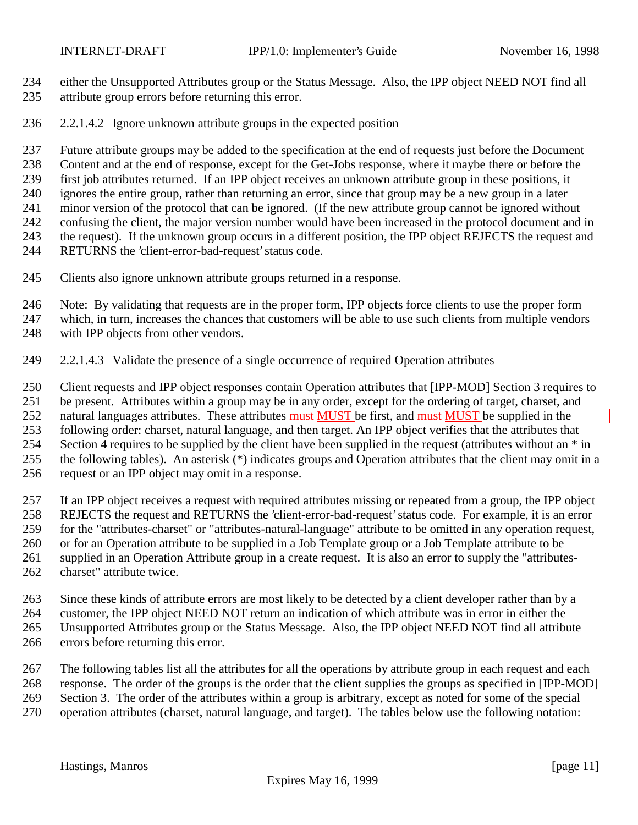- either the Unsupported Attributes group or the Status Message. Also, the IPP object NEED NOT find all attribute group errors before returning this error.
- 2.2.1.4.2 Ignore unknown attribute groups in the expected position

Future attribute groups may be added to the specification at the end of requests just before the Document

Content and at the end of response, except for the Get-Jobs response, where it maybe there or before the

first job attributes returned. If an IPP object receives an unknown attribute group in these positions, it

ignores the entire group, rather than returning an error, since that group may be a new group in a later

 minor version of the protocol that can be ignored. (If the new attribute group cannot be ignored without confusing the client, the major version number would have been increased in the protocol document and in

the request). If the unknown group occurs in a different position, the IPP object REJECTS the request and

RETURNS the 'client-error-bad-request' status code.

Clients also ignore unknown attribute groups returned in a response.

Note: By validating that requests are in the proper form, IPP objects force clients to use the proper form

which, in turn, increases the chances that customers will be able to use such clients from multiple vendors

with IPP objects from other vendors.

2.2.1.4.3 Validate the presence of a single occurrence of required Operation attributes

 Client requests and IPP object responses contain Operation attributes that [IPP-MOD] Section 3 requires to be present. Attributes within a group may be in any order, except for the ordering of target, charset, and 252 natural languages attributes. These attributes must MUST be first, and must MUST be supplied in the following order: charset, natural language, and then target. An IPP object verifies that the attributes that 254 Section 4 requires to be supplied by the client have been supplied in the request (attributes without an  $*$  in the following tables). An asterisk (\*) indicates groups and Operation attributes that the client may omit in a request or an IPP object may omit in a response.

 If an IPP object receives a request with required attributes missing or repeated from a group, the IPP object REJECTS the request and RETURNS the 'client-error-bad-request' status code. For example, it is an error for the "attributes-charset" or "attributes-natural-language" attribute to be omitted in any operation request, or for an Operation attribute to be supplied in a Job Template group or a Job Template attribute to be supplied in an Operation Attribute group in a create request. It is also an error to supply the "attributes-charset" attribute twice.

 Since these kinds of attribute errors are most likely to be detected by a client developer rather than by a customer, the IPP object NEED NOT return an indication of which attribute was in error in either the Unsupported Attributes group or the Status Message. Also, the IPP object NEED NOT find all attribute errors before returning this error.

 The following tables list all the attributes for all the operations by attribute group in each request and each response. The order of the groups is the order that the client supplies the groups as specified in [IPP-MOD] Section 3. The order of the attributes within a group is arbitrary, except as noted for some of the special operation attributes (charset, natural language, and target). The tables below use the following notation: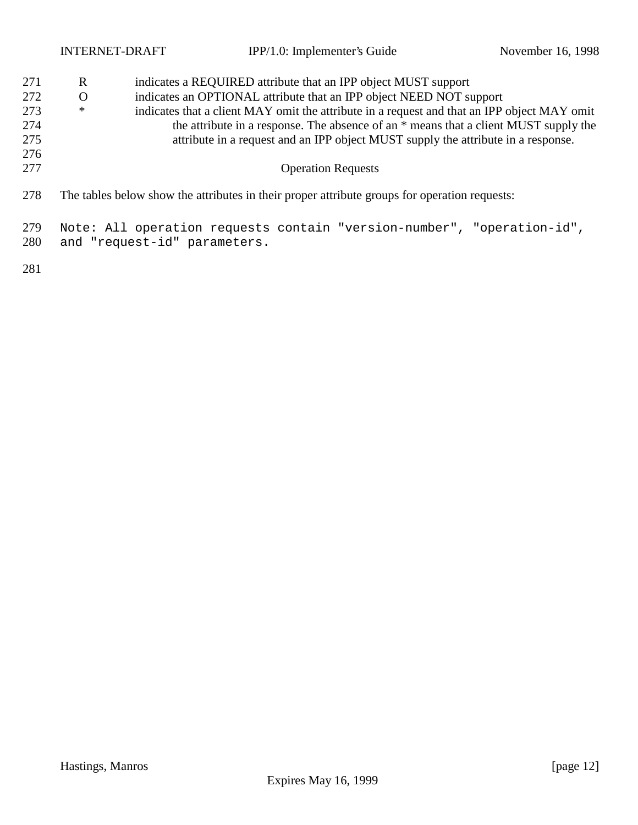|                          | <b>INTERNET-DRAFT</b>                                                                                                                                                                                                                                                           |  | IPP/1.0: Implementer's Guide                                                                  | November 16, 1998 |  |  |  |  |  |
|--------------------------|---------------------------------------------------------------------------------------------------------------------------------------------------------------------------------------------------------------------------------------------------------------------------------|--|-----------------------------------------------------------------------------------------------|-------------------|--|--|--|--|--|
| 271                      | R<br>indicates a REQUIRED attribute that an IPP object MUST support                                                                                                                                                                                                             |  |                                                                                               |                   |  |  |  |  |  |
| 272                      | O                                                                                                                                                                                                                                                                               |  | indicates an OPTIONAL attribute that an IPP object NEED NOT support                           |                   |  |  |  |  |  |
| 273<br>274<br>275<br>276 | indicates that a client MAY omit the attribute in a request and that an IPP object MAY omit<br>∗<br>the attribute in a response. The absence of an $*$ means that a client MUST supply the<br>attribute in a request and an IPP object MUST supply the attribute in a response. |  |                                                                                               |                   |  |  |  |  |  |
| 277                      |                                                                                                                                                                                                                                                                                 |  | <b>Operation Requests</b>                                                                     |                   |  |  |  |  |  |
| 278                      |                                                                                                                                                                                                                                                                                 |  | The tables below show the attributes in their proper attribute groups for operation requests: |                   |  |  |  |  |  |
| 279<br>280               | Note: All operation requests contain "version-number", "operation-id",<br>and "request-id" parameters.                                                                                                                                                                          |  |                                                                                               |                   |  |  |  |  |  |
| 281                      |                                                                                                                                                                                                                                                                                 |  |                                                                                               |                   |  |  |  |  |  |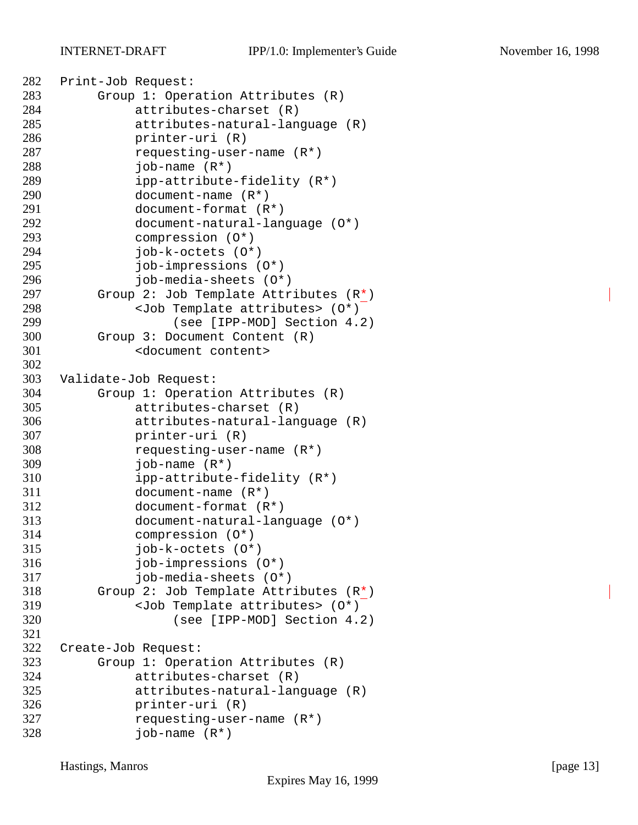```
282 Print-Job Request:
283 Group 1: Operation Attributes (R)
284 attributes-charset (R)
285 attributes-natural-language (R)
286 printer-uri (R)
287 requesting-user-name (R*)
288 job-name (R*)
289 ipp-attribute-fidelity (R*)
290 document-name (R*)
291 document-format (R*)
292 document-natural-language (O*)
293 compression (O*)
294 job-k-octets (O*)
295 job-impressions (O*)
296 job-media-sheets (O*)
297 Group 2: Job Template Attributes (R*)
298 <Job Template attributes> (O*)
299 (see [IPP-MOD] Section 4.2)
300 Group 3: Document Content (R)
301 <document content>
302
303 Validate-Job Request:
304 Group 1: Operation Attributes (R)
305 attributes-charset (R)
306 attributes-natural-language (R)
307 printer-uri (R)
308 requesting-user-name (R*)
309 job-name (R*)
310 ipp-attribute-fidelity (R*)
311 document-name (R*)
312 document-format (R*)
313 document-natural-language (O*)
314 compression (O*)
315 job-k-octets (O*)
316 job-impressions (O*)
317 job-media-sheets (O*)
318 Group 2: Job Template Attributes (R*)
319 <Job Template attributes> (O*)
320 (see [IPP-MOD] Section 4.2)
321
322 Create-Job Request:
323 Group 1: Operation Attributes (R)
324 attributes-charset (R)
325 attributes-natural-language (R)
326 printer-uri (R)
327 requesting-user-name (R*)
328 job-name (R*)
```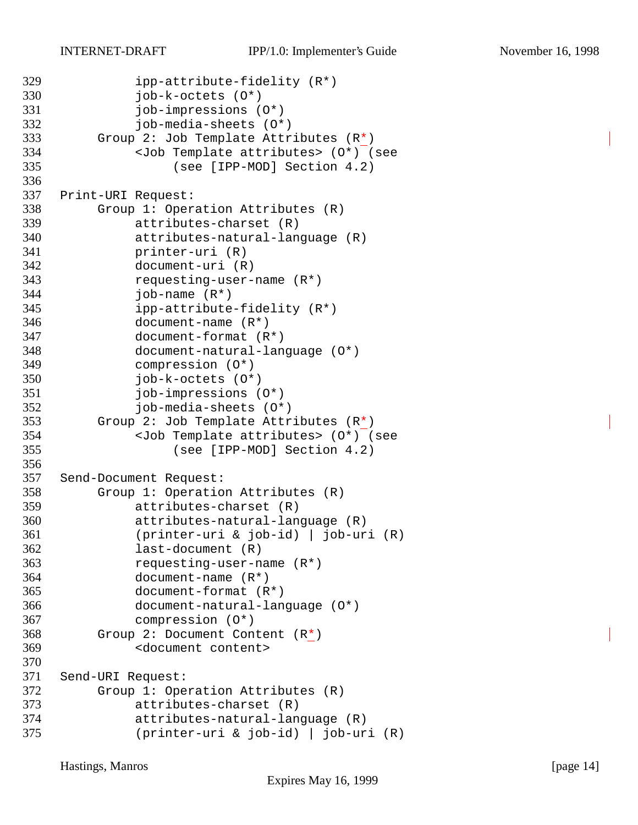```
329 ipp-attribute-fidelity (R*)
330 job-k-octets (O*)
331 job-impressions (O*)
332 job-media-sheets (O*)
333 Group 2: Job Template Attributes (R*)
334 <Job Template attributes> (O*) (see
335 (see [IPP-MOD] Section 4.2)
336
337 Print-URI Request:
338 Group 1: Operation Attributes (R)
339 attributes-charset (R)
340 attributes-natural-language (R)
341 printer-uri (R)
342 document-uri (R)
343 requesting-user-name (R*)
344 job-name (R*)
345 ipp-attribute-fidelity (R*)
346 document-name (R*)
347 document-format (R*)
348 document-natural-language (O*)
349 compression (O*)
350 job-k-octets (O*)
351 job-impressions (O*)
352 job-media-sheets (O*)
353 Group 2: Job Template Attributes (R*)
354 <Job Template attributes> (O*) (see
355 (see [IPP-MOD] Section 4.2)
356
357 Send-Document Request:
358 Group 1: Operation Attributes (R)
359 attributes-charset (R)
360 attributes-natural-language (R)
361 (printer-uri & job-id) | job-uri (R)
362 last-document (R)
363 requesting-user-name (R*)
364 document-name (R*)
365 document-format (R*)
366 document-natural-language (O*)
367 compression (O*)
368 Group 2: Document Content (R*)
369 <document content>
370
371 Send-URI Request:
372 Group 1: Operation Attributes (R)
373 attributes-charset (R)
374 attributes-natural-language (R)
375 (printer-uri & job-id) | job-uri (R)
```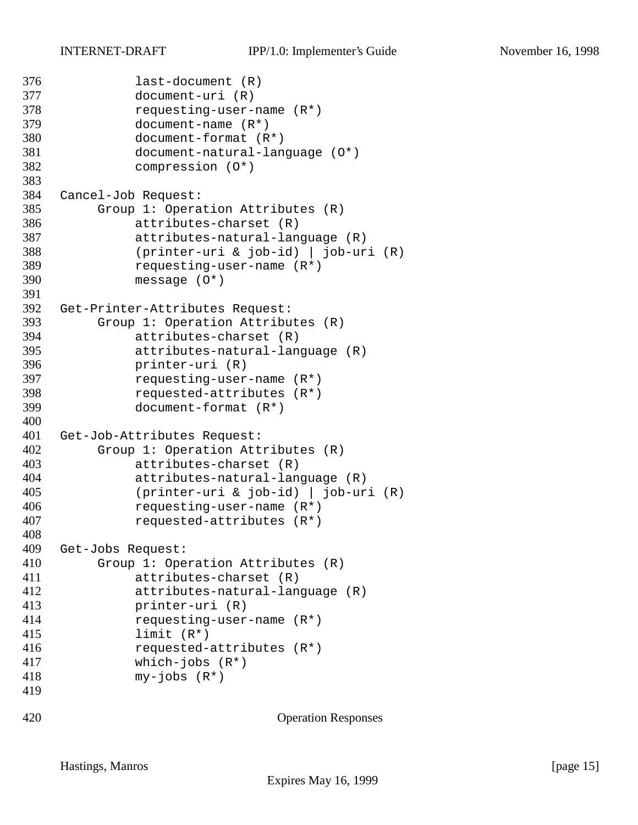```
376 last-document (R)
377 document-uri (R)
378 requesting-user-name (R*)
379 document-name (R*)
380 document-format (R*)
381 document-natural-language (O*)
382 compression (O*)
383
384 Cancel-Job Request:
385 Group 1: Operation Attributes (R)
386 attributes-charset (R)
387 attributes-natural-language (R)
388 (printer-uri & job-id) | job-uri (R)
389 requesting-user-name (R*)
390 message (O*)
391
392 Get-Printer-Attributes Request:
393 Group 1: Operation Attributes (R)
394 attributes-charset (R)
395 attributes-natural-language (R)
396 printer-uri (R)
397 requesting-user-name (R*)
398 requested-attributes (R*)
399 document-format (R*)
400
401 Get-Job-Attributes Request:
402 Group 1: Operation Attributes (R)
403 attributes-charset (R)
404 attributes-natural-language (R)
405 (printer-uri & job-id) | job-uri (R)
406 requesting-user-name (R*)
407 requested-attributes (R*)
408
409 Get-Jobs Request:
410 Group 1: Operation Attributes (R)
411 attributes-charset (R)
412 attributes-natural-language (R)
413 printer-uri (R)
414 requesting-user-name (R*)
415 limit (R*)
416 requested-attributes (R*)
417 which-jobs (R*)
418 my-jobs (R*)
419
420 Operation Responses
```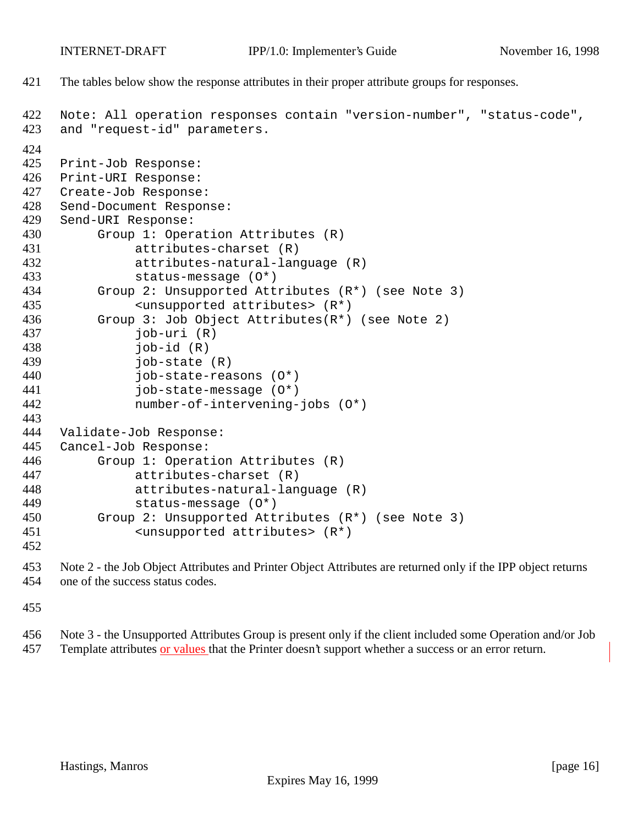The tables below show the response attributes in their proper attribute groups for responses.

```
422 Note: All operation responses contain "version-number", "status-code",
423 and "request-id" parameters.
424
425 Print-Job Response:
426 Print-URI Response:
427 Create-Job Response:
428 Send-Document Response:
429 Send-URI Response:
430 Group 1: Operation Attributes (R)
431 attributes-charset (R)
432 attributes-natural-language (R)
433 status-message (O*)
434 Group 2: Unsupported Attributes (R*) (see Note 3)
435 <unsupported attributes> (R*)
436 Group 3: Job Object Attributes(R*) (see Note 2)
437 job-uri (R)
438 job-id (R)
439 job-state (R)
440 job-state-reasons (O*)
441 job-state-message (O*)
442 number-of-intervening-jobs (O*)
443
444 Validate-Job Response:
445 Cancel-Job Response:
446 Group 1: Operation Attributes (R)
447 attributes-charset (R)
448 attributes-natural-language (R)
449 status-message (O*)
450 Group 2: Unsupported Attributes (R*) (see Note 3)
451 <unsupported attributes> (R*)
452
```
 Note 2 - the Job Object Attributes and Printer Object Attributes are returned only if the IPP object returns one of the success status codes.

 Note 3 - the Unsupported Attributes Group is present only if the client included some Operation and/or Job Template attributes or values that the Printer doesn't support whether a success or an error return.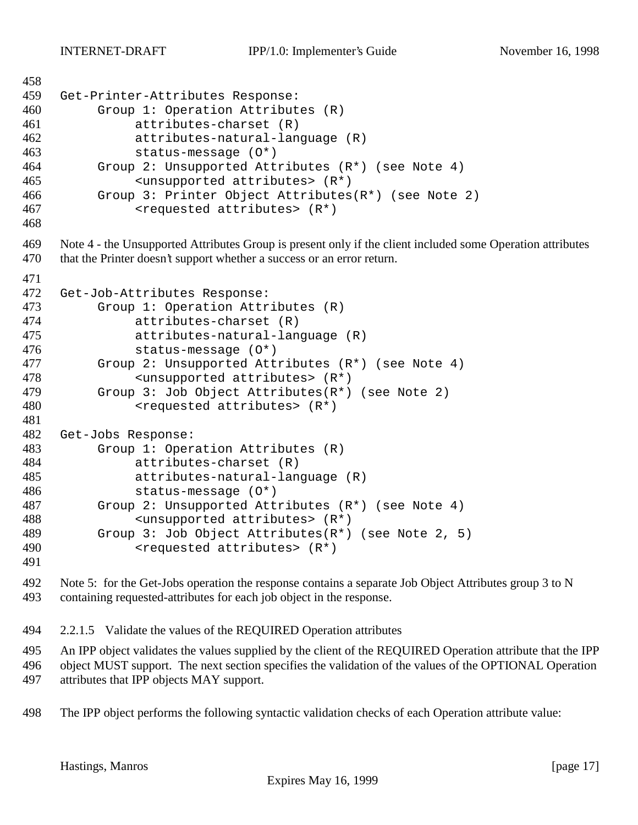```
458
459 Get-Printer-Attributes Response:
460 Group 1: Operation Attributes (R)
461 attributes-charset (R)
462 attributes-natural-language (R)
463 status-message (O*)
464 Group 2: Unsupported Attributes (R*) (see Note 4)
465 <unsupported attributes> (R*)
466 Group 3: Printer Object Attributes(R*) (see Note 2)
467 <requested attributes> (R*)
468
469 Note 4 - the Unsupported Attributes Group is present only if the client included some Operation attributes
470 that the Printer doesn't support whether a success or an error return.
471
472 Get-Job-Attributes Response:
473 Group 1: Operation Attributes (R)<br>474 attributes-charset (R)
             attributes-charset (R)
475 attributes-natural-language (R)
476 status-message (O*)
477 Group 2: Unsupported Attributes (R*) (see Note 4)
478 <unsupported attributes> (R*)
479 Group 3: Job Object Attributes(R*) (see Note 2)
480 <requested attributes> (R<sup>*</sup>)481
482 Get-Jobs Response:
483 Group 1: Operation Attributes (R)
484 attributes-charset (R)
485 attributes-natural-language (R)
486 status-message (O*)
487 Group 2: Unsupported Attributes (R*) (see Note 4)
488 <unsupported attributes> (R*)
489 Group 3: Job Object Attributes(R*) (see Note 2, 5)
490 <requested attributes> (R*)
```
492 Note 5: for the Get-Jobs operation the response contains a separate Job Object Attributes group 3 to N containing requested-attributes for each job object in the response.

2.2.1.5 Validate the values of the REQUIRED Operation attributes

An IPP object validates the values supplied by the client of the REQUIRED Operation attribute that the IPP

object MUST support. The next section specifies the validation of the values of the OPTIONAL Operation

attributes that IPP objects MAY support.

The IPP object performs the following syntactic validation checks of each Operation attribute value: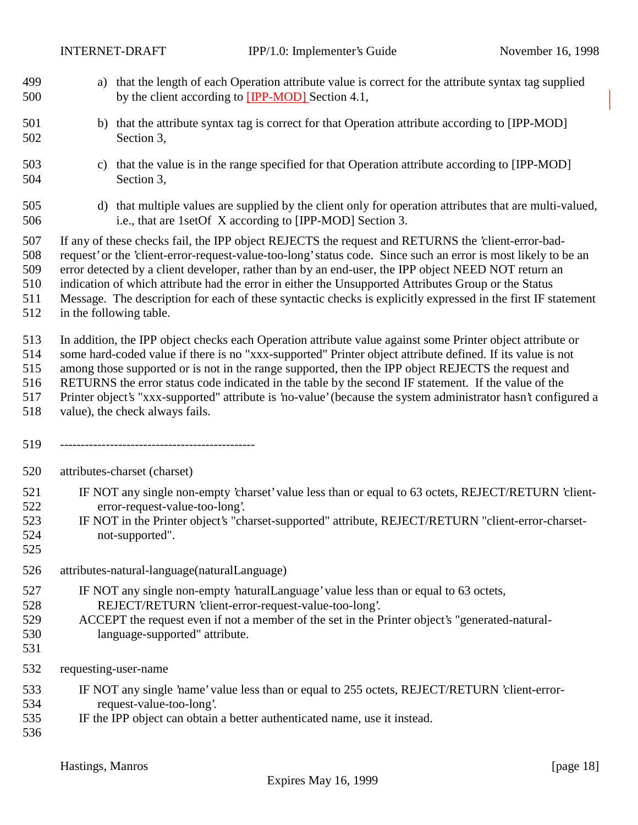- a) that the length of each Operation attribute value is correct for the attribute syntax tag supplied by the client according to [IPP-MOD] Section 4.1,
- 501 b) that the attribute syntax tag is correct for that Operation attribute according to [IPP-MOD] Section 3,
- c) that the value is in the range specified for that Operation attribute according to [IPP-MOD] Section 3,
- d) that multiple values are supplied by the client only for operation attributes that are multi-valued, i.e., that are 1setOf X according to [IPP-MOD] Section 3.
- If any of these checks fail, the IPP object REJECTS the request and RETURNS the 'client-error-bad-
- request' or the 'client-error-request-value-too-long' status code. Since such an error is most likely to be an
- error detected by a client developer, rather than by an end-user, the IPP object NEED NOT return an
- indication of which attribute had the error in either the Unsupported Attributes Group or the Status
- Message. The description for each of these syntactic checks is explicitly expressed in the first IF statement
- in the following table.

In addition, the IPP object checks each Operation attribute value against some Printer object attribute or

- some hard-coded value if there is no "xxx-supported" Printer object attribute defined. If its value is not
- among those supported or is not in the range supported, then the IPP object REJECTS the request and
- RETURNS the error status code indicated in the table by the second IF statement. If the value of the
- Printer object's "xxx-supported" attribute is 'no-value' (because the system administrator hasn't configured a
- value), the check always fails.
- -----------------------------------------------
- attributes-charset (charset)
- IF NOT any single non-empty 'charset' value less than or equal to 63 octets, REJECT/RETURN 'client-error-request-value-too-long'.
- IF NOT in the Printer object's "charset-supported" attribute, REJECT/RETURN "client-error-charset-not-supported".
- 
- attributes-natural-language(naturalLanguage)
- IF NOT any single non-empty 'naturalLanguage' value less than or equal to 63 octets, REJECT/RETURN 'client-error-request-value-too-long'.
- ACCEPT the request even if not a member of the set in the Printer object's "generated-natural-language-supported" attribute.
- 

- requesting-user-name
- IF NOT any single 'name' value less than or equal to 255 octets, REJECT/RETURN 'client-error-request-value-too-long'.
- IF the IPP object can obtain a better authenticated name, use it instead.
	- Hastings, Manros [page 18] [page 18]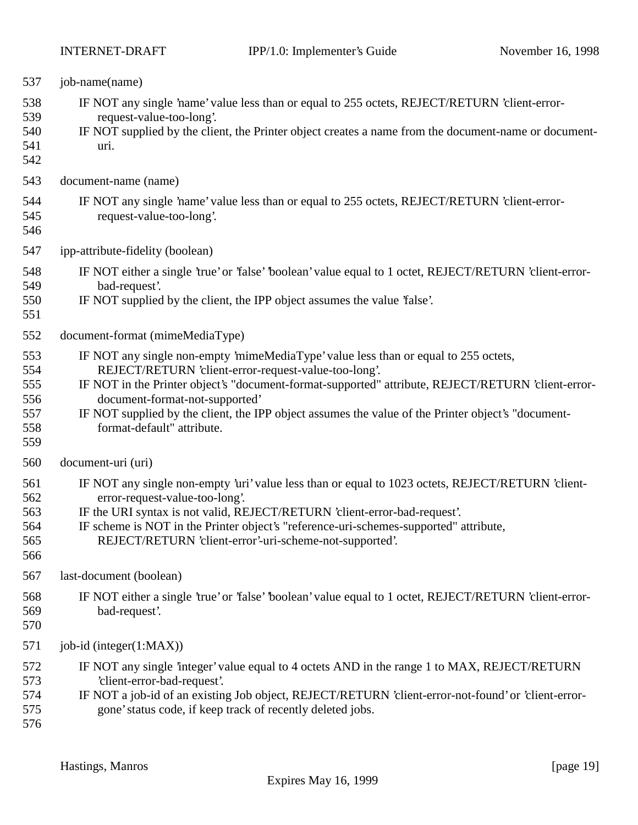| 537                                           | job-name(name)                                                                                                                                                                                                                                                                                                                                                                                                          |
|-----------------------------------------------|-------------------------------------------------------------------------------------------------------------------------------------------------------------------------------------------------------------------------------------------------------------------------------------------------------------------------------------------------------------------------------------------------------------------------|
| 538<br>539<br>540<br>541<br>542               | IF NOT any single 'name' value less than or equal to 255 octets, REJECT/RETURN 'client-error-<br>request-value-too-long'.<br>IF NOT supplied by the client, the Printer object creates a name from the document-name or document-<br>uri.                                                                                                                                                                               |
| 543                                           | document-name (name)                                                                                                                                                                                                                                                                                                                                                                                                    |
| 544<br>545<br>546                             | IF NOT any single 'name' value less than or equal to 255 octets, REJECT/RETURN 'client-error-<br>request-value-too-long'.                                                                                                                                                                                                                                                                                               |
| 547                                           | ipp-attribute-fidelity (boolean)                                                                                                                                                                                                                                                                                                                                                                                        |
| 548<br>549<br>550<br>551                      | IF NOT either a single 'true' or 'false' 'boolean' value equal to 1 octet, REJECT/RETURN 'client-error-<br>bad-request'.<br>IF NOT supplied by the client, the IPP object assumes the value 'false'.                                                                                                                                                                                                                    |
| 552                                           | document-format (mimeMediaType)                                                                                                                                                                                                                                                                                                                                                                                         |
| 553<br>554<br>555<br>556<br>557<br>558<br>559 | IF NOT any single non-empty 'mimeMediaType' value less than or equal to 255 octets,<br>REJECT/RETURN 'client-error-request-value-too-long'.<br>IF NOT in the Printer object's "document-format-supported" attribute, REJECT/RETURN 'client-error-<br>document-format-not-supported'<br>IF NOT supplied by the client, the IPP object assumes the value of the Printer object's "document-<br>format-default" attribute. |
| 560                                           | document-uri (uri)                                                                                                                                                                                                                                                                                                                                                                                                      |
| 561<br>562<br>563<br>564<br>565<br>566        | IF NOT any single non-empty 'uri' value less than or equal to 1023 octets, REJECT/RETURN 'client-<br>error-request-value-too-long'.<br>IF the URI syntax is not valid, REJECT/RETURN 'client-error-bad-request'.<br>IF scheme is NOT in the Printer object's "reference-uri-schemes-supported" attribute,<br>REJECT/RETURN 'client-error'-uri-scheme-not-supported'.                                                    |
| 567                                           | last-document (boolean)                                                                                                                                                                                                                                                                                                                                                                                                 |
| 568<br>569<br>570                             | IF NOT either a single 'true' or 'false' 'boolean' value equal to 1 octet, REJECT/RETURN 'client-error-<br>bad-request'.                                                                                                                                                                                                                                                                                                |
| 571                                           | job-id (integer(1:MAX))                                                                                                                                                                                                                                                                                                                                                                                                 |
| 572<br>573<br>574<br>575<br>576               | IF NOT any single 'integer' value equal to 4 octets AND in the range 1 to MAX, REJECT/RETURN<br>'client-error-bad-request'.<br>IF NOT a job-id of an existing Job object, REJECT/RETURN 'client-error-not-found' or 'client-error-<br>gone' status code, if keep track of recently deleted jobs.                                                                                                                        |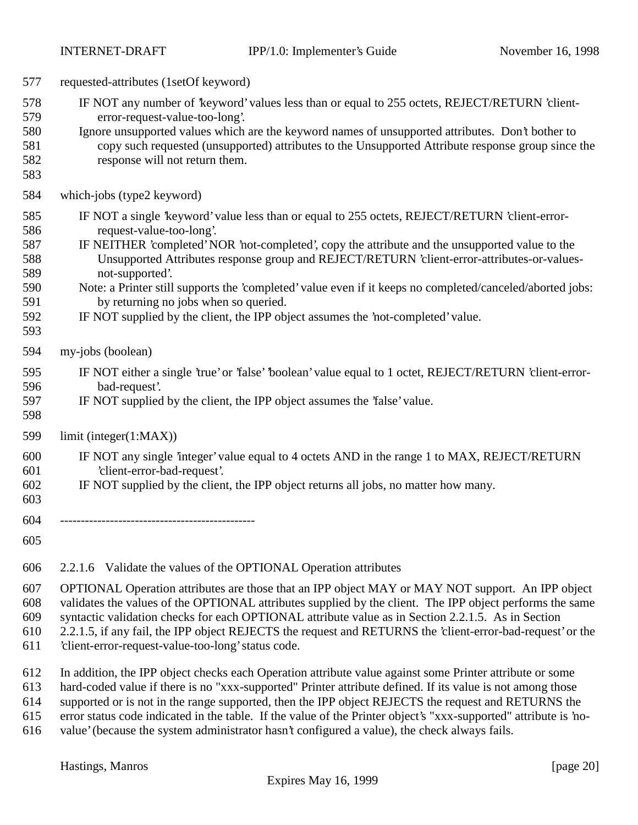| 577                                                         | requested-attributes (1setOf keyword)                                                                                                                                                                                                                                                                                                                                                                                                                                                                                                                                                     |
|-------------------------------------------------------------|-------------------------------------------------------------------------------------------------------------------------------------------------------------------------------------------------------------------------------------------------------------------------------------------------------------------------------------------------------------------------------------------------------------------------------------------------------------------------------------------------------------------------------------------------------------------------------------------|
| 578<br>579<br>580<br>581<br>582<br>583                      | IF NOT any number of 'keyword' values less than or equal to 255 octets, REJECT/RETURN 'client-<br>error-request-value-too-long'.<br>Ignore unsupported values which are the keyword names of unsupported attributes. Don't bother to<br>copy such requested (unsupported) attributes to the Unsupported Attribute response group since the<br>response will not return them.                                                                                                                                                                                                              |
| 584                                                         | which-jobs (type2 keyword)                                                                                                                                                                                                                                                                                                                                                                                                                                                                                                                                                                |
| 585<br>586<br>587<br>588<br>589<br>590<br>591<br>592<br>593 | IF NOT a single 'keyword' value less than or equal to 255 octets, REJECT/RETURN 'client-error-<br>request-value-too-long'.<br>IF NEITHER 'completed' NOR 'not-completed', copy the attribute and the unsupported value to the<br>Unsupported Attributes response group and REJECT/RETURN 'client-error-attributes-or-values-<br>not-supported'.<br>Note: a Printer still supports the 'completed' value even if it keeps no completed/canceled/aborted jobs:<br>by returning no jobs when so queried.<br>IF NOT supplied by the client, the IPP object assumes the 'not-completed' value. |
| 594                                                         | my-jobs (boolean)                                                                                                                                                                                                                                                                                                                                                                                                                                                                                                                                                                         |
| 595<br>596<br>597<br>598                                    | IF NOT either a single 'true' or 'false' boolean' value equal to 1 octet, REJECT/RETURN 'client-error-<br>bad-request'.<br>IF NOT supplied by the client, the IPP object assumes the 'false' value.                                                                                                                                                                                                                                                                                                                                                                                       |
| 599                                                         | limit (integer(1:MAX))                                                                                                                                                                                                                                                                                                                                                                                                                                                                                                                                                                    |
| 600<br>601<br>602<br>603                                    | IF NOT any single 'integer' value equal to 4 octets AND in the range 1 to MAX, REJECT/RETURN<br>'client-error-bad-request'.<br>IF NOT supplied by the client, the IPP object returns all jobs, no matter how many.                                                                                                                                                                                                                                                                                                                                                                        |
| 604<br>605                                                  |                                                                                                                                                                                                                                                                                                                                                                                                                                                                                                                                                                                           |
| $\sim$                                                      | $0.016$ $\overline{M}$ $\overline{M}$ $\overline{M}$ $\overline{M}$ $\overline{M}$ $\overline{M}$ $\overline{M}$ $\overline{M}$ $\overline{M}$ $\overline{M}$ $\overline{M}$ $\overline{M}$ $\overline{M}$ $\overline{M}$ $\overline{M}$ $\overline{M}$ $\overline{M}$ $\overline{M}$ $\overline{M}$ $\overline{M}$ $\overline{M}$ $\overline{M}$ $\overline{M}$ $\overline{M$                                                                                                                                                                                                            |

2.2.1.6 Validate the values of the OPTIONAL Operation attributes

 OPTIONAL Operation attributes are those that an IPP object MAY or MAY NOT support. An IPP object validates the values of the OPTIONAL attributes supplied by the client. The IPP object performs the same

syntactic validation checks for each OPTIONAL attribute value as in Section 2.2.1.5. As in Section

2.2.1.5, if any fail, the IPP object REJECTS the request and RETURNS the 'client-error-bad-request' or the

'client-error-request-value-too-long' status code.

In addition, the IPP object checks each Operation attribute value against some Printer attribute or some

hard-coded value if there is no "xxx-supported" Printer attribute defined. If its value is not among those

supported or is not in the range supported, then the IPP object REJECTS the request and RETURNS the

error status code indicated in the table. If the value of the Printer object's "xxx-supported" attribute is 'no-

value' (because the system administrator hasn't configured a value), the check always fails.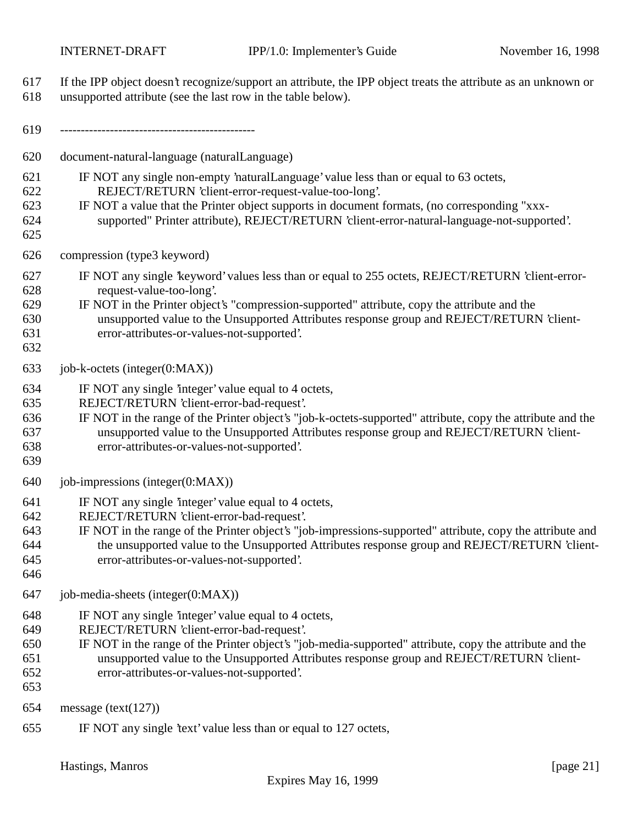Hastings, Manros [page 21] Expires May 16, 1999 If the IPP object doesn't recognize/support an attribute, the IPP object treats the attribute as an unknown or unsupported attribute (see the last row in the table below). ----------------------------------------------- document-natural-language (naturalLanguage) IF NOT any single non-empty 'naturalLanguage' value less than or equal to 63 octets, REJECT/RETURN 'client-error-request-value-too-long'. IF NOT a value that the Printer object supports in document formats, (no corresponding "xxx- supported" Printer attribute), REJECT/RETURN 'client-error-natural-language-not-supported'. compression (type3 keyword) IF NOT any single 'keyword' values less than or equal to 255 octets, REJECT/RETURN 'client-error- request-value-too-long'. IF NOT in the Printer object's "compression-supported" attribute, copy the attribute and the unsupported value to the Unsupported Attributes response group and REJECT/RETURN 'client- error-attributes-or-values-not-supported'. job-k-octets (integer(0:MAX)) IF NOT any single 'integer' value equal to 4 octets, REJECT/RETURN 'client-error-bad-request'. IF NOT in the range of the Printer object's "job-k-octets-supported" attribute, copy the attribute and the unsupported value to the Unsupported Attributes response group and REJECT/RETURN 'client- error-attributes-or-values-not-supported'. 640 job-impressions (integer $(0:MAX)$ ) IF NOT any single 'integer' value equal to 4 octets, REJECT/RETURN 'client-error-bad-request'. IF NOT in the range of the Printer object's "job-impressions-supported" attribute, copy the attribute and the unsupported value to the Unsupported Attributes response group and REJECT/RETURN 'client- error-attributes-or-values-not-supported'. job-media-sheets (integer(0:MAX)) IF NOT any single 'integer' value equal to 4 octets, REJECT/RETURN 'client-error-bad-request'. IF NOT in the range of the Printer object's "job-media-supported" attribute, copy the attribute and the unsupported value to the Unsupported Attributes response group and REJECT/RETURN 'client- error-attributes-or-values-not-supported'. message (text(127)) IF NOT any single 'text' value less than or equal to 127 octets,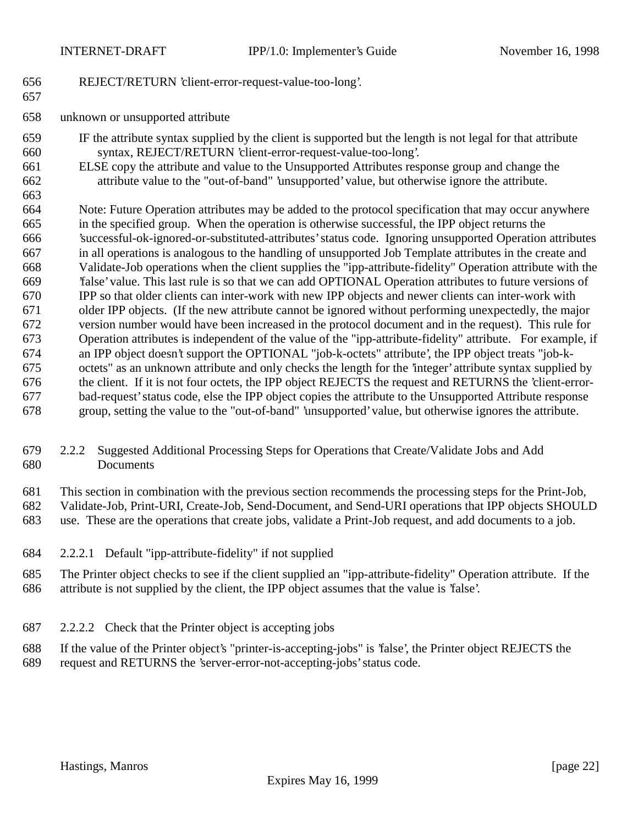REJECT/RETURN 'client-error-request-value-too-long'.

- unknown or unsupported attribute
- IF the attribute syntax supplied by the client is supported but the length is not legal for that attribute syntax, REJECT/RETURN 'client-error-request-value-too-long'.
- ELSE copy the attribute and value to the Unsupported Attributes response group and change the attribute value to the "out-of-band" 'unsupported' value, but otherwise ignore the attribute.

 Note: Future Operation attributes may be added to the protocol specification that may occur anywhere in the specified group. When the operation is otherwise successful, the IPP object returns the 'successful-ok-ignored-or-substituted-attributes' status code. Ignoring unsupported Operation attributes in all operations is analogous to the handling of unsupported Job Template attributes in the create and Validate-Job operations when the client supplies the "ipp-attribute-fidelity" Operation attribute with the 'false' value. This last rule is so that we can add OPTIONAL Operation attributes to future versions of IPP so that older clients can inter-work with new IPP objects and newer clients can inter-work with older IPP objects. (If the new attribute cannot be ignored without performing unexpectedly, the major version number would have been increased in the protocol document and in the request). This rule for Operation attributes is independent of the value of the "ipp-attribute-fidelity" attribute. For example, if an IPP object doesn't support the OPTIONAL "job-k-octets" attribute', the IPP object treats "job-k- octets" as an unknown attribute and only checks the length for the 'integer' attribute syntax supplied by the client. If it is not four octets, the IPP object REJECTS the request and RETURNS the 'client-error- bad-request' status code, else the IPP object copies the attribute to the Unsupported Attribute response group, setting the value to the "out-of-band" 'unsupported' value, but otherwise ignores the attribute.

#### 2.2.2 Suggested Additional Processing Steps for Operations that Create/Validate Jobs and Add Documents

This section in combination with the previous section recommends the processing steps for the Print-Job,

Validate-Job, Print-URI, Create-Job, Send-Document, and Send-URI operations that IPP objects SHOULD

- use. These are the operations that create jobs, validate a Print-Job request, and add documents to a job.
- 2.2.2.1 Default "ipp-attribute-fidelity" if not supplied
- The Printer object checks to see if the client supplied an "ipp-attribute-fidelity" Operation attribute. If the attribute is not supplied by the client, the IPP object assumes that the value is 'false'.
- 2.2.2.2 Check that the Printer object is accepting jobs
- If the value of the Printer object's "printer-is-accepting-jobs" is 'false', the Printer object REJECTS the request and RETURNS the 'server-error-not-accepting-jobs' status code.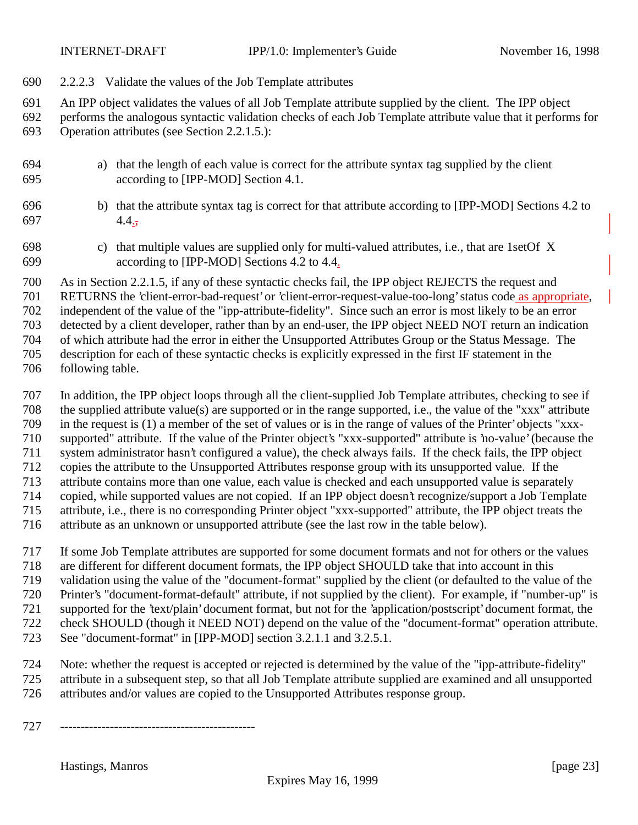- 2.2.2.3 Validate the values of the Job Template attributes
- An IPP object validates the values of all Job Template attribute supplied by the client. The IPP object
- performs the analogous syntactic validation checks of each Job Template attribute value that it performs for Operation attributes (see Section 2.2.1.5.):
- a) that the length of each value is correct for the attribute syntax tag supplied by the client according to [IPP-MOD] Section 4.1.
- b) that the attribute syntax tag is correct for that attribute according to [IPP-MOD] Sections 4.2 to  $4.4.7$
- c) that multiple values are supplied only for multi-valued attributes, i.e., that are 1setOf X according to [IPP-MOD] Sections 4.2 to 4.4.
- As in Section 2.2.1.5, if any of these syntactic checks fail, the IPP object REJECTS the request and
- RETURNS the 'client-error-bad-request' or 'client-error-request-value-too-long' status code as appropriate,
- independent of the value of the "ipp-attribute-fidelity". Since such an error is most likely to be an error
- detected by a client developer, rather than by an end-user, the IPP object NEED NOT return an indication
- of which attribute had the error in either the Unsupported Attributes Group or the Status Message. The
- description for each of these syntactic checks is explicitly expressed in the first IF statement in the
- following table.
- In addition, the IPP object loops through all the client-supplied Job Template attributes, checking to see if the supplied attribute value(s) are supported or in the range supported, i.e., the value of the "xxx" attribute in the request is (1) a member of the set of values or is in the range of values of the Printer' objects "xxx- supported" attribute. If the value of the Printer object's "xxx-supported" attribute is 'no-value' (because the system administrator hasn't configured a value), the check always fails. If the check fails, the IPP object copies the attribute to the Unsupported Attributes response group with its unsupported value. If the attribute contains more than one value, each value is checked and each unsupported value is separately copied, while supported values are not copied. If an IPP object doesn't recognize/support a Job Template attribute, i.e., there is no corresponding Printer object "xxx-supported" attribute, the IPP object treats the attribute as an unknown or unsupported attribute (see the last row in the table below).
- If some Job Template attributes are supported for some document formats and not for others or the values
- are different for different document formats, the IPP object SHOULD take that into account in this
- validation using the value of the "document-format" supplied by the client (or defaulted to the value of the
- Printer's "document-format-default" attribute, if not supplied by the client). For example, if "number-up" is
- supported for the 'text/plain' document format, but not for the 'application/postscript' document format, the
- check SHOULD (though it NEED NOT) depend on the value of the "document-format" operation attribute.
- 723 See "document-format" in [IPP-MOD] section 3.2.1.1 and 3.2.5.1.
- Note: whether the request is accepted or rejected is determined by the value of the "ipp-attribute-fidelity" attribute in a subsequent step, so that all Job Template attribute supplied are examined and all unsupported attributes and/or values are copied to the Unsupported Attributes response group.
- -----------------------------------------------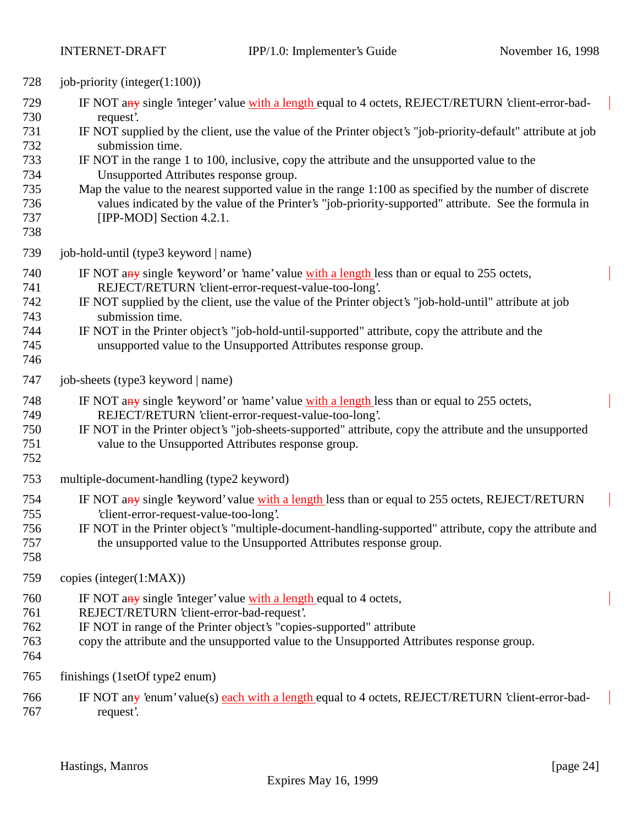| 728                                                                | job-priority (integer $(1:100)$ )                                                                                                                                                                                                                                                                                                                                                                                                                                                                                                                                                                                                            |
|--------------------------------------------------------------------|----------------------------------------------------------------------------------------------------------------------------------------------------------------------------------------------------------------------------------------------------------------------------------------------------------------------------------------------------------------------------------------------------------------------------------------------------------------------------------------------------------------------------------------------------------------------------------------------------------------------------------------------|
| 729<br>730<br>731<br>732<br>733<br>734<br>735<br>736<br>737<br>738 | IF NOT any single 'integer' value with a length equal to 4 octets, REJECT/RETURN 'client-error-bad-<br>request.<br>IF NOT supplied by the client, use the value of the Printer object's "job-priority-default" attribute at job<br>submission time.<br>IF NOT in the range 1 to 100, inclusive, copy the attribute and the unsupported value to the<br>Unsupported Attributes response group.<br>Map the value to the nearest supported value in the range 1:100 as specified by the number of discrete<br>values indicated by the value of the Printer's "job-priority-supported" attribute. See the formula in<br>[IPP-MOD] Section 4.2.1. |
| 739                                                                | job-hold-until (type3 keyword   name)                                                                                                                                                                                                                                                                                                                                                                                                                                                                                                                                                                                                        |
| 740<br>741<br>742<br>743<br>744<br>745<br>746                      | IF NOT any single 'keyword' or 'name' value with a length less than or equal to 255 octets,<br>REJECT/RETURN 'client-error-request-value-too-long'.<br>IF NOT supplied by the client, use the value of the Printer object's "job-hold-until" attribute at job<br>submission time.<br>IF NOT in the Printer object's "job-hold-until-supported" attribute, copy the attribute and the<br>unsupported value to the Unsupported Attributes response group.                                                                                                                                                                                      |
| 747                                                                | job-sheets (type3 keyword   name)                                                                                                                                                                                                                                                                                                                                                                                                                                                                                                                                                                                                            |
| 748<br>749<br>750<br>751<br>752                                    | IF NOT any single keyword' or 'name' value with a length less than or equal to 255 octets,<br>REJECT/RETURN 'client-error-request-value-too-long'.<br>IF NOT in the Printer object's "job-sheets-supported" attribute, copy the attribute and the unsupported<br>value to the Unsupported Attributes response group.                                                                                                                                                                                                                                                                                                                         |
| 753                                                                | multiple-document-handling (type2 keyword)                                                                                                                                                                                                                                                                                                                                                                                                                                                                                                                                                                                                   |
| 754<br>755<br>756<br>757<br>758                                    | IF NOT any single keyword' value with a length less than or equal to 255 octets, REJECT/RETURN<br>'client-error-request-value-too-long'.<br>IF NOT in the Printer object's "multiple-document-handling-supported" attribute, copy the attribute and<br>the unsupported value to the Unsupported Attributes response group.                                                                                                                                                                                                                                                                                                                   |
| 759                                                                | copies (integer(1:MAX))                                                                                                                                                                                                                                                                                                                                                                                                                                                                                                                                                                                                                      |
| 760<br>761<br>762<br>763<br>764                                    | IF NOT any single 'integer' value with a length equal to 4 octets,<br>REJECT/RETURN 'client-error-bad-request'.<br>IF NOT in range of the Printer object's "copies-supported" attribute<br>copy the attribute and the unsupported value to the Unsupported Attributes response group.                                                                                                                                                                                                                                                                                                                                                        |
| 765                                                                | finishings (1setOf type2 enum)                                                                                                                                                                                                                                                                                                                                                                                                                                                                                                                                                                                                               |
| 766<br>767                                                         | IF NOT any 'enum' value(s) each with a length equal to 4 octets, REJECT/RETURN 'client-error-bad-<br>request'.                                                                                                                                                                                                                                                                                                                                                                                                                                                                                                                               |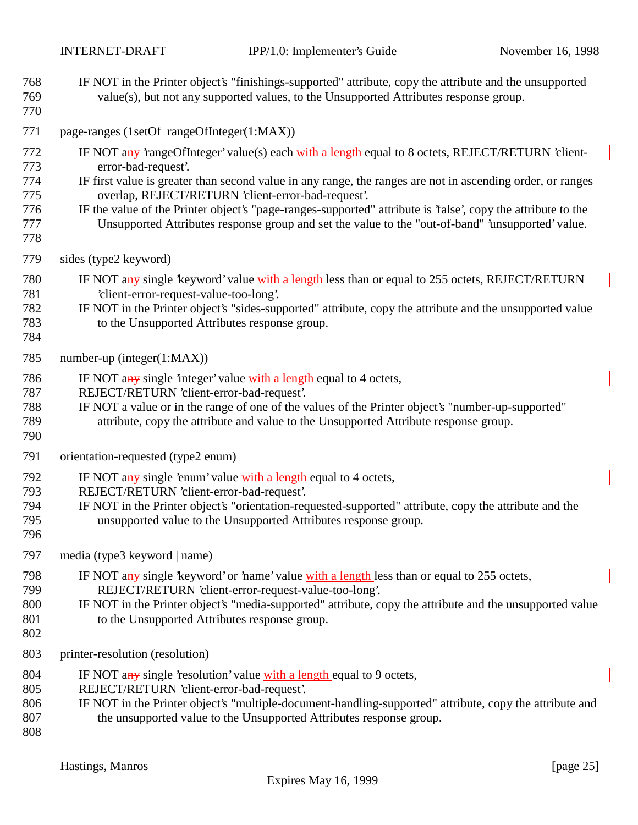- IF NOT in the Printer object's "finishings-supported" attribute, copy the attribute and the unsupported value(s), but not any supported values, to the Unsupported Attributes response group.
- 771 page-ranges (1setOf rangeOfInteger(1:MAX))
- 772 IF NOT any 'rangeOfInteger' value(s) each with a length equal to 8 octets, REJECT/RETURN 'client-error-bad-request'.
- IF first value is greater than second value in any range, the ranges are not in ascending order, or ranges overlap, REJECT/RETURN 'client-error-bad-request'.
- IF the value of the Printer object's "page-ranges-supported" attribute is 'false', copy the attribute to the Unsupported Attributes response group and set the value to the "out-of-band" 'unsupported' value.
- 
- sides (type2 keyword)
- 780 IF NOT any single 'keyword' value with a length less than or equal to 255 octets, REJECT/RETURN 'client-error-request-value-too-long'.
- IF NOT in the Printer object's "sides-supported" attribute, copy the attribute and the unsupported value to the Unsupported Attributes response group.
- 

number-up (integer(1:MAX))

- 786 IF NOT any single 'integer' value with a length equal to 4 octets,
- REJECT/RETURN 'client-error-bad-request'.
- IF NOT a value or in the range of one of the values of the Printer object's "number-up-supported"
- attribute, copy the attribute and value to the Unsupported Attribute response group.
- 
- orientation-requested (type2 enum)
- 792 IF NOT any single 'enum' value with a length equal to 4 octets,
- REJECT/RETURN 'client-error-bad-request'.
- IF NOT in the Printer object's "orientation-requested-supported" attribute, copy the attribute and the unsupported value to the Unsupported Attributes response group.
- 
- media (type3 keyword | name)
- IF NOT any single 'keyword' or 'name' value with a length less than or equal to 255 octets, REJECT/RETURN 'client-error-request-value-too-long'.
- IF NOT in the Printer object's "media-supported" attribute, copy the attribute and the unsupported value to the Unsupported Attributes response group.
- 
- printer-resolution (resolution)
- 804 IF NOT any single 'resolution' value with a length equal to 9 octets,
- REJECT/RETURN 'client-error-bad-request'.
- IF NOT in the Printer object's "multiple-document-handling-supported" attribute, copy the attribute and the unsupported value to the Unsupported Attributes response group.
-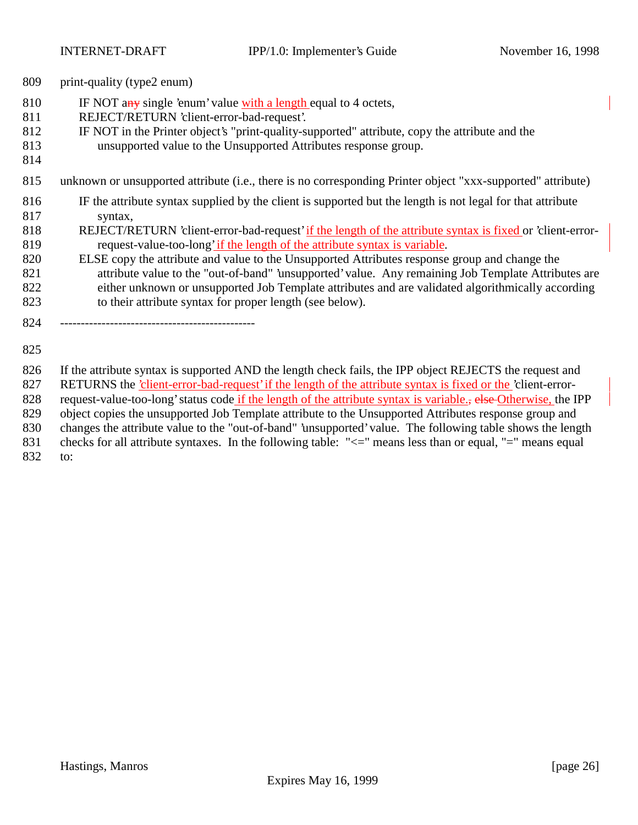print-quality (type2 enum)

- 810 IF NOT any single 'enum' value with a length equal to 4 octets,
- REJECT/RETURN 'client-error-bad-request'.
- IF NOT in the Printer object's "print-quality-supported" attribute, copy the attribute and the
- unsupported value to the Unsupported Attributes response group.
- 
- unknown or unsupported attribute (i.e., there is no corresponding Printer object "xxx-supported" attribute)
- IF the attribute syntax supplied by the client is supported but the length is not legal for that attribute syntax,
- REJECT/RETURN 'client-error-bad-request' if the length of the attribute syntax is fixed or 'client-error-request-value-too-long' if the length of the attribute syntax is variable.
- ELSE copy the attribute and value to the Unsupported Attributes response group and change the attribute value to the "out-of-band" 'unsupported' value. Any remaining Job Template Attributes are either unknown or unsupported Job Template attributes and are validated algorithmically according to their attribute syntax for proper length (see below).
- -----------------------------------------------
- 

If the attribute syntax is supported AND the length check fails, the IPP object REJECTS the request and

827 RETURNS the 'client-error-bad-request' if the length of the attribute syntax is fixed or the 'client-error-

828 request-value-too-long' status code if the length of the attribute syntax is variable., else Otherwise, the IPP

- object copies the unsupported Job Template attribute to the Unsupported Attributes response group and
- changes the attribute value to the "out-of-band" 'unsupported' value. The following table shows the length
- 831 checks for all attribute syntaxes. In the following table: " $\leq$ " means less than or equal, "=" means equal
- to: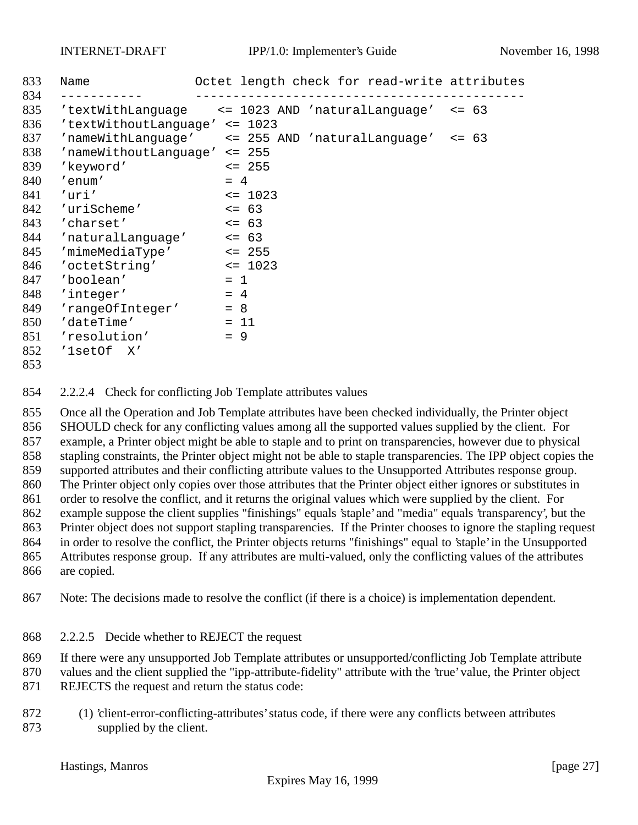| 833  | Name                      | Octet length check for read-write attributes          |
|------|---------------------------|-------------------------------------------------------|
| 834  |                           |                                                       |
| 835  |                           | 'textWithLanguage <= 1023 AND 'naturalLanguage' <= 63 |
| 836  | 'textWithoutLanguage'     | $\leq$ 1023                                           |
| 837  |                           | 'nameWithLanguage' <= 255 AND 'naturalLanguage' <= 63 |
| 838  | 'nameWithoutLanguage'     | $\leq$ 255                                            |
| 839  | 'keyword'                 | $\leq$ 255                                            |
| 840  | 'enum'                    | $= 4$                                                 |
| 841  | 'uri'                     | $\leq$ 1023                                           |
| 842  | 'uriScheme'               | $\leq$ 63                                             |
| 843  | 'charset'                 | $\le$ = 63                                            |
| 844  | $'naturalLanguage'$ <= 63 |                                                       |
| 845  | 'mimeMediaType'           | $\leq$ 255                                            |
| 846  | 'octetString'             | $\leq$ 1023                                           |
| 847  | 'boolean'                 | $= 1$                                                 |
| 848  | 'integer'                 | $= 4$                                                 |
| 849  | 'rangeOfInteger'          | $= 8$                                                 |
| 850  | 'dateTime'                | $= 11$                                                |
| 851  | 'resolution'              | $= 9$                                                 |
| 852  | 'lsetOf X'                |                                                       |
| 0.72 |                           |                                                       |

2.2.2.4 Check for conflicting Job Template attributes values

 Once all the Operation and Job Template attributes have been checked individually, the Printer object SHOULD check for any conflicting values among all the supported values supplied by the client. For example, a Printer object might be able to staple and to print on transparencies, however due to physical stapling constraints, the Printer object might not be able to staple transparencies. The IPP object copies the supported attributes and their conflicting attribute values to the Unsupported Attributes response group. The Printer object only copies over those attributes that the Printer object either ignores or substitutes in order to resolve the conflict, and it returns the original values which were supplied by the client. For example suppose the client supplies "finishings" equals 'staple' and "media" equals 'transparency', but the Printer object does not support stapling transparencies. If the Printer chooses to ignore the stapling request in order to resolve the conflict, the Printer objects returns "finishings" equal to 'staple' in the Unsupported Attributes response group. If any attributes are multi-valued, only the conflicting values of the attributes are copied.

Note: The decisions made to resolve the conflict (if there is a choice) is implementation dependent.

2.2.2.5 Decide whether to REJECT the request

If there were any unsupported Job Template attributes or unsupported/conflicting Job Template attribute

 values and the client supplied the "ipp-attribute-fidelity" attribute with the 'true' value, the Printer object REJECTS the request and return the status code:

 (1) 'client-error-conflicting-attributes' status code, if there were any conflicts between attributes supplied by the client.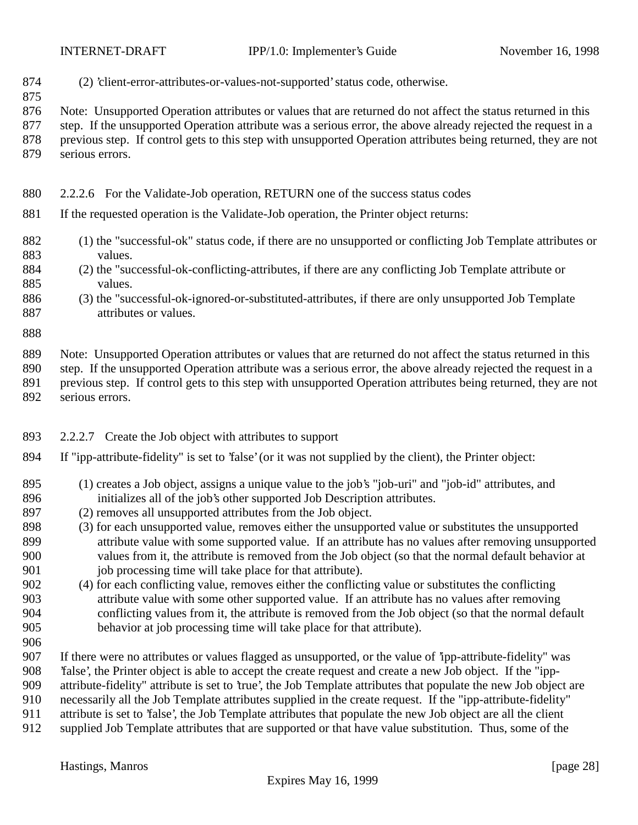- (2) 'client-error-attributes-or-values-not-supported' status code, otherwise.
- Note: Unsupported Operation attributes or values that are returned do not affect the status returned in this
- step. If the unsupported Operation attribute was a serious error, the above already rejected the request in a previous step. If control gets to this step with unsupported Operation attributes being returned, they are not
- serious errors.

#### 2.2.2.6 For the Validate-Job operation, RETURN one of the success status codes

- If the requested operation is the Validate-Job operation, the Printer object returns:
- (1) the "successful-ok" status code, if there are no unsupported or conflicting Job Template attributes or values.
- (2) the "successful-ok-conflicting-attributes, if there are any conflicting Job Template attribute or values.
- (3) the "successful-ok-ignored-or-substituted-attributes, if there are only unsupported Job Template attributes or values.
- 

 Note: Unsupported Operation attributes or values that are returned do not affect the status returned in this step. If the unsupported Operation attribute was a serious error, the above already rejected the request in a

- previous step. If control gets to this step with unsupported Operation attributes being returned, they are not
- serious errors.
- 2.2.2.7 Create the Job object with attributes to support
- If "ipp-attribute-fidelity" is set to 'false' (or it was not supplied by the client), the Printer object:
- (1) creates a Job object, assigns a unique value to the job's "job-uri" and "job-id" attributes, and initializes all of the job's other supported Job Description attributes.
- (2) removes all unsupported attributes from the Job object.
- (3) for each unsupported value, removes either the unsupported value or substitutes the unsupported attribute value with some supported value. If an attribute has no values after removing unsupported values from it, the attribute is removed from the Job object (so that the normal default behavior at 901 job processing time will take place for that attribute).
- (4) for each conflicting value, removes either the conflicting value or substitutes the conflicting attribute value with some other supported value. If an attribute has no values after removing conflicting values from it, the attribute is removed from the Job object (so that the normal default behavior at job processing time will take place for that attribute).
- 

If there were no attributes or values flagged as unsupported, or the value of 'ipp-attribute-fidelity" was

- 'false', the Printer object is able to accept the create request and create a new Job object. If the "ipp-
- attribute-fidelity" attribute is set to 'true', the Job Template attributes that populate the new Job object are necessarily all the Job Template attributes supplied in the create request. If the "ipp-attribute-fidelity"
- attribute is set to 'false', the Job Template attributes that populate the new Job object are all the client
- supplied Job Template attributes that are supported or that have value substitution. Thus, some of the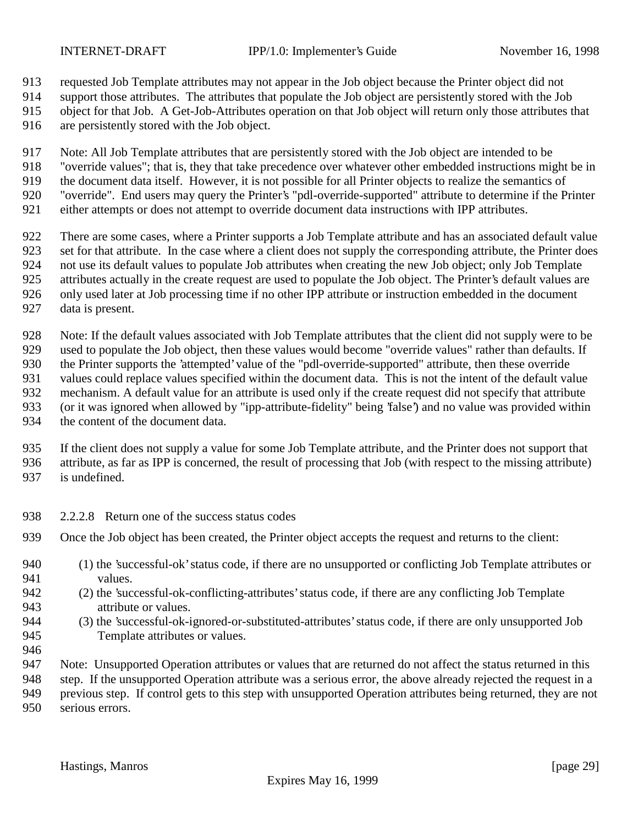requested Job Template attributes may not appear in the Job object because the Printer object did not

support those attributes. The attributes that populate the Job object are persistently stored with the Job

object for that Job. A Get-Job-Attributes operation on that Job object will return only those attributes that

are persistently stored with the Job object.

Note: All Job Template attributes that are persistently stored with the Job object are intended to be

"override values"; that is, they that take precedence over whatever other embedded instructions might be in

 the document data itself. However, it is not possible for all Printer objects to realize the semantics of "override". End users may query the Printer's "pdl-override-supported" attribute to determine if the Printer

either attempts or does not attempt to override document data instructions with IPP attributes.

 There are some cases, where a Printer supports a Job Template attribute and has an associated default value set for that attribute. In the case where a client does not supply the corresponding attribute, the Printer does not use its default values to populate Job attributes when creating the new Job object; only Job Template attributes actually in the create request are used to populate the Job object. The Printer's default values are only used later at Job processing time if no other IPP attribute or instruction embedded in the document

data is present.

 Note: If the default values associated with Job Template attributes that the client did not supply were to be used to populate the Job object, then these values would become "override values" rather than defaults. If the Printer supports the 'attempted' value of the "pdl-override-supported" attribute, then these override values could replace values specified within the document data. This is not the intent of the default value mechanism. A default value for an attribute is used only if the create request did not specify that attribute (or it was ignored when allowed by "ipp-attribute-fidelity" being 'false') and no value was provided within the content of the document data.

 If the client does not supply a value for some Job Template attribute, and the Printer does not support that attribute, as far as IPP is concerned, the result of processing that Job (with respect to the missing attribute) is undefined.

- 2.2.2.8 Return one of the success status codes
- Once the Job object has been created, the Printer object accepts the request and returns to the client:
- (1) the 'successful-ok' status code, if there are no unsupported or conflicting Job Template attributes or values.
- (2) the 'successful-ok-conflicting-attributes' status code, if there are any conflicting Job Template attribute or values.
- (3) the 'successful-ok-ignored-or-substituted-attributes' status code, if there are only unsupported Job Template attributes or values.

 Note: Unsupported Operation attributes or values that are returned do not affect the status returned in this step. If the unsupported Operation attribute was a serious error, the above already rejected the request in a previous step. If control gets to this step with unsupported Operation attributes being returned, they are not

serious errors.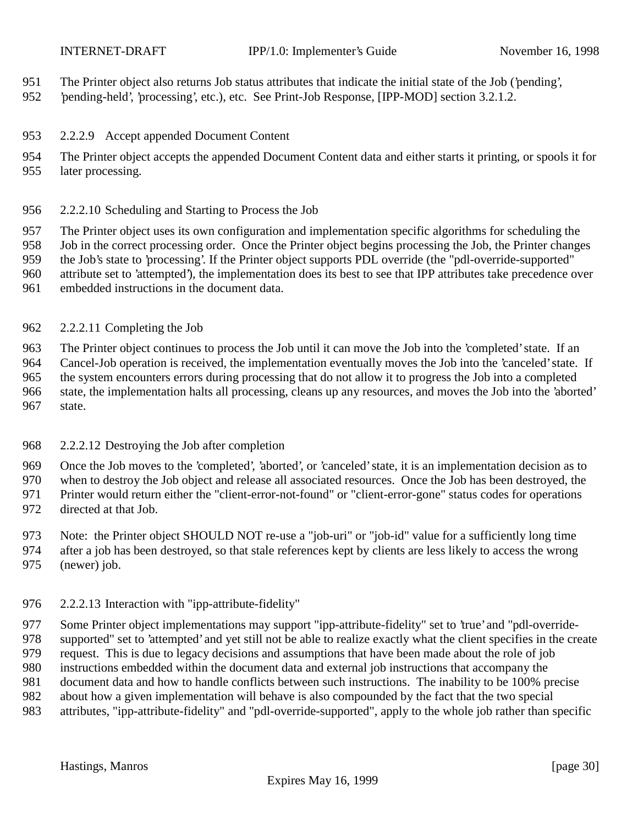- The Printer object also returns Job status attributes that indicate the initial state of the Job ('pending',
- 'pending-held', 'processing', etc.), etc. See Print-Job Response, [IPP-MOD] section 3.2.1.2.
- 2.2.2.9 Accept appended Document Content
- The Printer object accepts the appended Document Content data and either starts it printing, or spools it for later processing.
- 2.2.2.10 Scheduling and Starting to Process the Job
- The Printer object uses its own configuration and implementation specific algorithms for scheduling the
- Job in the correct processing order. Once the Printer object begins processing the Job, the Printer changes the Job's state to 'processing'. If the Printer object supports PDL override (the "pdl-override-supported"
- attribute set to 'attempted'), the implementation does its best to see that IPP attributes take precedence over
- embedded instructions in the document data.
- 2.2.2.11 Completing the Job

 The Printer object continues to process the Job until it can move the Job into the 'completed' state. If an Cancel-Job operation is received, the implementation eventually moves the Job into the 'canceled' state. If the system encounters errors during processing that do not allow it to progress the Job into a completed state, the implementation halts all processing, cleans up any resources, and moves the Job into the 'aborted' state.

#### 2.2.2.12 Destroying the Job after completion

- Once the Job moves to the 'completed', 'aborted', or 'canceled' state, it is an implementation decision as to
- when to destroy the Job object and release all associated resources. Once the Job has been destroyed, the
- Printer would return either the "client-error-not-found" or "client-error-gone" status codes for operations
- directed at that Job.
- Note: the Printer object SHOULD NOT re-use a "job-uri" or "job-id" value for a sufficiently long time
- after a job has been destroyed, so that stale references kept by clients are less likely to access the wrong
- (newer) job.

## 2.2.2.13 Interaction with "ipp-attribute-fidelity"

 Some Printer object implementations may support "ipp-attribute-fidelity" set to 'true' and "pdl-override- supported" set to 'attempted' and yet still not be able to realize exactly what the client specifies in the create request. This is due to legacy decisions and assumptions that have been made about the role of job instructions embedded within the document data and external job instructions that accompany the document data and how to handle conflicts between such instructions. The inability to be 100% precise about how a given implementation will behave is also compounded by the fact that the two special

attributes, "ipp-attribute-fidelity" and "pdl-override-supported", apply to the whole job rather than specific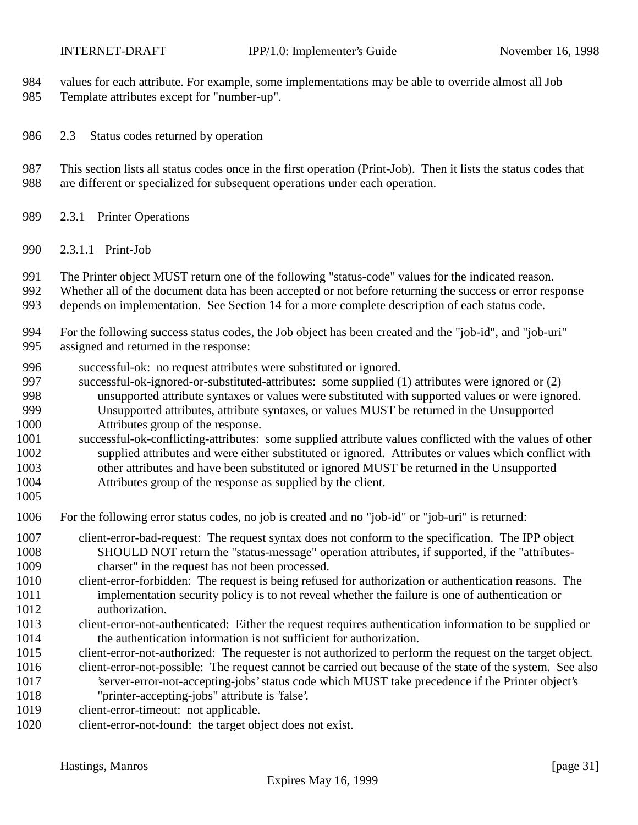values for each attribute. For example, some implementations may be able to override almost all Job

- Template attributes except for "number-up".
- 2.3 Status codes returned by operation
- This section lists all status codes once in the first operation (Print-Job). Then it lists the status codes that are different or specialized for subsequent operations under each operation.
- 2.3.1 Printer Operations
- 2.3.1.1 Print-Job
- The Printer object MUST return one of the following "status-code" values for the indicated reason.
- Whether all of the document data has been accepted or not before returning the success or error response
- depends on implementation. See Section 14 for a more complete description of each status code.
- For the following success status codes, the Job object has been created and the "job-id", and "job-uri" assigned and returned in the response:
- successful-ok: no request attributes were substituted or ignored.
- successful-ok-ignored-or-substituted-attributes: some supplied (1) attributes were ignored or (2) unsupported attribute syntaxes or values were substituted with supported values or were ignored.
- Unsupported attributes, attribute syntaxes, or values MUST be returned in the Unsupported
- Attributes group of the response.
- successful-ok-conflicting-attributes: some supplied attribute values conflicted with the values of other supplied attributes and were either substituted or ignored. Attributes or values which conflict with other attributes and have been substituted or ignored MUST be returned in the Unsupported Attributes group of the response as supplied by the client.
- 
- For the following error status codes, no job is created and no "job-id" or "job-uri" is returned:
- client-error-bad-request: The request syntax does not conform to the specification. The IPP object SHOULD NOT return the "status-message" operation attributes, if supported, if the "attributes-charset" in the request has not been processed.
- client-error-forbidden: The request is being refused for authorization or authentication reasons. The implementation security policy is to not reveal whether the failure is one of authentication or authorization.
- client-error-not-authenticated: Either the request requires authentication information to be supplied or the authentication information is not sufficient for authorization.
- client-error-not-authorized: The requester is not authorized to perform the request on the target object.
- client-error-not-possible: The request cannot be carried out because of the state of the system. See also

 'server-error-not-accepting-jobs' status code which MUST take precedence if the Printer object's "printer-accepting-jobs" attribute is 'false'.

- 1019 client-error-timeout: not applicable.
- client-error-not-found: the target object does not exist.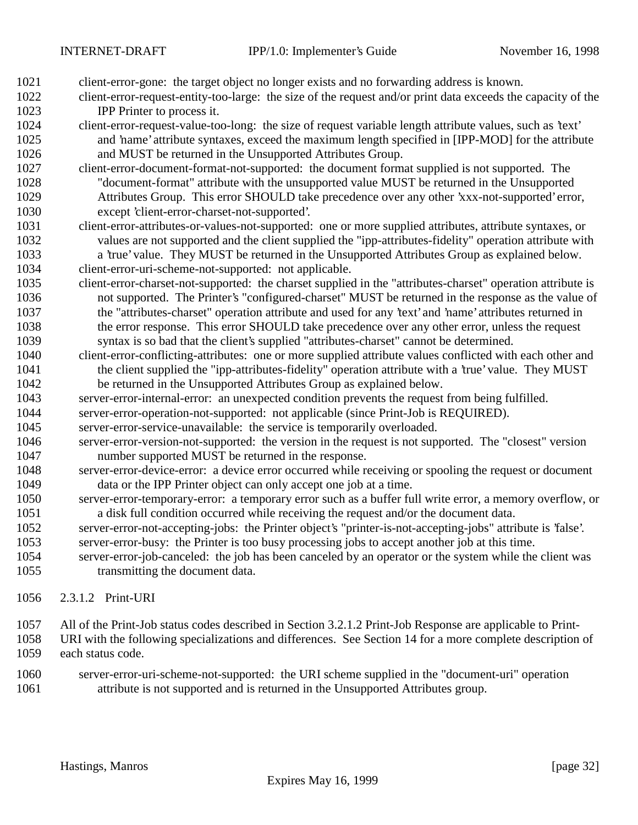- client-error-gone: the target object no longer exists and no forwarding address is known.
- client-error-request-entity-too-large: the size of the request and/or print data exceeds the capacity of the IPP Printer to process it.
- client-error-request-value-too-long: the size of request variable length attribute values, such as 'text' and 'name' attribute syntaxes, exceed the maximum length specified in [IPP-MOD] for the attribute and MUST be returned in the Unsupported Attributes Group.
- client-error-document-format-not-supported: the document format supplied is not supported. The "document-format" attribute with the unsupported value MUST be returned in the Unsupported Attributes Group. This error SHOULD take precedence over any other 'xxx-not-supported' error, except 'client-error-charset-not-supported'.
- client-error-attributes-or-values-not-supported: one or more supplied attributes, attribute syntaxes, or values are not supported and the client supplied the "ipp-attributes-fidelity" operation attribute with a 'true' value. They MUST be returned in the Unsupported Attributes Group as explained below.
- client-error-uri-scheme-not-supported: not applicable.
- client-error-charset-not-supported: the charset supplied in the "attributes-charset" operation attribute is not supported. The Printer's "configured-charset" MUST be returned in the response as the value of the "attributes-charset" operation attribute and used for any 'text' and 'name' attributes returned in the error response. This error SHOULD take precedence over any other error, unless the request syntax is so bad that the client's supplied "attributes-charset" cannot be determined.
- client-error-conflicting-attributes: one or more supplied attribute values conflicted with each other and 1041 the client supplied the "ipp-attributes-fidelity" operation attribute with a 'true' value. They MUST be returned in the Unsupported Attributes Group as explained below.
- server-error-internal-error: an unexpected condition prevents the request from being fulfilled.
- server-error-operation-not-supported: not applicable (since Print-Job is REQUIRED).
- server-error-service-unavailable: the service is temporarily overloaded.
- server-error-version-not-supported: the version in the request is not supported. The "closest" version number supported MUST be returned in the response.
- server-error-device-error: a device error occurred while receiving or spooling the request or document data or the IPP Printer object can only accept one job at a time.
- server-error-temporary-error: a temporary error such as a buffer full write error, a memory overflow, or a disk full condition occurred while receiving the request and/or the document data.
- server-error-not-accepting-jobs: the Printer object's "printer-is-not-accepting-jobs" attribute is 'false'. server-error-busy: the Printer is too busy processing jobs to accept another job at this time.
- server-error-job-canceled: the job has been canceled by an operator or the system while the client was transmitting the document data.
- 2.3.1.2 Print-URI
- All of the Print-Job status codes described in Section 3.2.1.2 Print-Job Response are applicable to Print-
- URI with the following specializations and differences. See Section 14 for a more complete description of each status code.
- server-error-uri-scheme-not-supported: the URI scheme supplied in the "document-uri" operation attribute is not supported and is returned in the Unsupported Attributes group.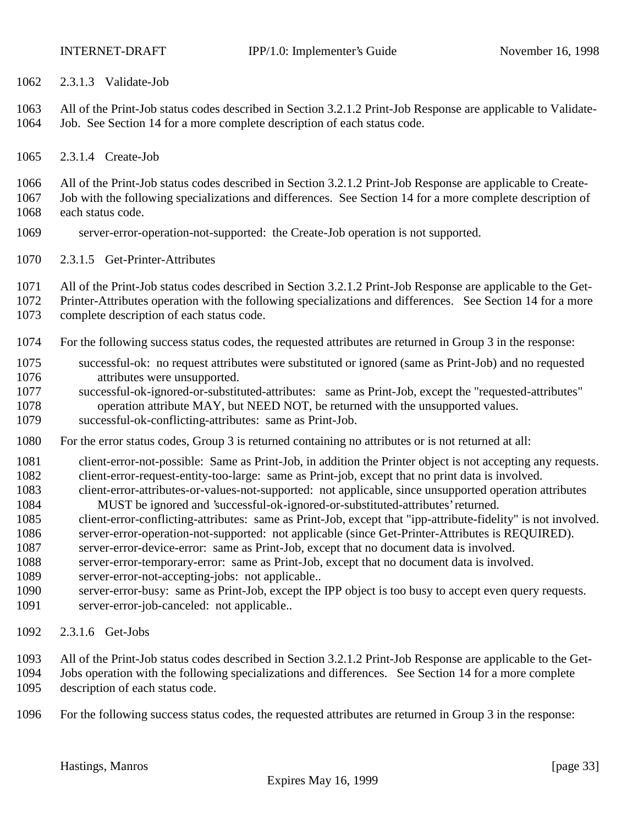2.3.1.3 Validate-Job

 All of the Print-Job status codes described in Section 3.2.1.2 Print-Job Response are applicable to Validate-Job. See Section 14 for a more complete description of each status code.

2.3.1.4 Create-Job

All of the Print-Job status codes described in Section 3.2.1.2 Print-Job Response are applicable to Create-

- Job with the following specializations and differences. See Section 14 for a more complete description of each status code.
- server-error-operation-not-supported: the Create-Job operation is not supported.
- 2.3.1.5 Get-Printer-Attributes
- All of the Print-Job status codes described in Section 3.2.1.2 Print-Job Response are applicable to the Get-
- Printer-Attributes operation with the following specializations and differences. See Section 14 for a more
- complete description of each status code.
- For the following success status codes, the requested attributes are returned in Group 3 in the response:
- successful-ok: no request attributes were substituted or ignored (same as Print-Job) and no requested attributes were unsupported.
- successful-ok-ignored-or-substituted-attributes: same as Print-Job, except the "requested-attributes"
- operation attribute MAY, but NEED NOT, be returned with the unsupported values.
- successful-ok-conflicting-attributes: same as Print-Job.
- For the error status codes, Group 3 is returned containing no attributes or is not returned at all:
- 1081 client-error-not-possible: Same as Print-Job, in addition the Printer object is not accepting any requests.
- client-error-request-entity-too-large: same as Print-job, except that no print data is involved.
- client-error-attributes-or-values-not-supported: not applicable, since unsupported operation attributes MUST be ignored and 'successful-ok-ignored-or-substituted-attributes' returned.
- client-error-conflicting-attributes: same as Print-Job, except that "ipp-attribute-fidelity" is not involved.
- server-error-operation-not-supported: not applicable (since Get-Printer-Attributes is REQUIRED).
- server-error-device-error: same as Print-Job, except that no document data is involved.
- server-error-temporary-error: same as Print-Job, except that no document data is involved.
- server-error-not-accepting-jobs: not applicable..
- server-error-busy: same as Print-Job, except the IPP object is too busy to accept even query requests. server-error-job-canceled: not applicable..
- 2.3.1.6 Get-Jobs
- All of the Print-Job status codes described in Section 3.2.1.2 Print-Job Response are applicable to the Get-
- Jobs operation with the following specializations and differences. See Section 14 for a more complete description of each status code.
- For the following success status codes, the requested attributes are returned in Group 3 in the response: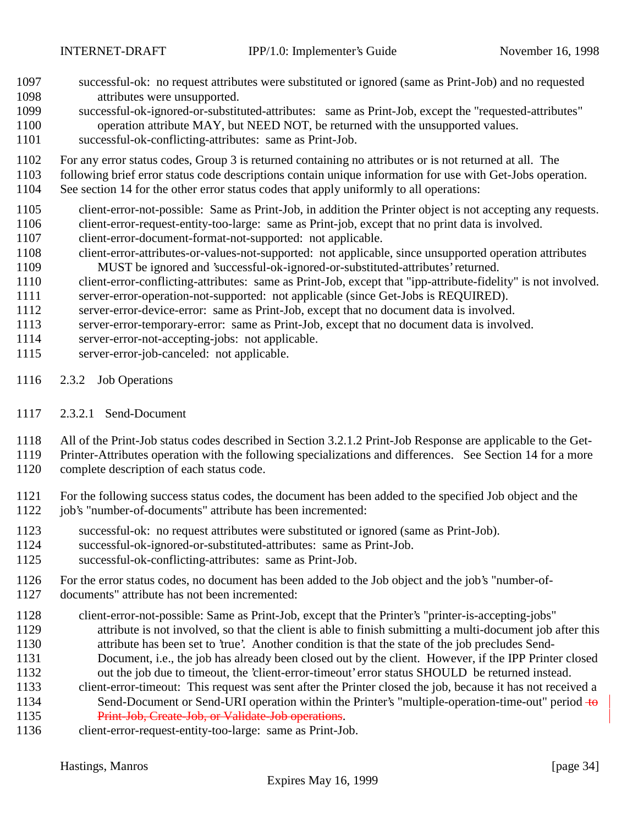- successful-ok: no request attributes were substituted or ignored (same as Print-Job) and no requested attributes were unsupported.
- successful-ok-ignored-or-substituted-attributes: same as Print-Job, except the "requested-attributes" operation attribute MAY, but NEED NOT, be returned with the unsupported values.
- successful-ok-conflicting-attributes: same as Print-Job.
- For any error status codes, Group 3 is returned containing no attributes or is not returned at all. The
- following brief error status code descriptions contain unique information for use with Get-Jobs operation.
- See section 14 for the other error status codes that apply uniformly to all operations:
- client-error-not-possible: Same as Print-Job, in addition the Printer object is not accepting any requests.
- client-error-request-entity-too-large: same as Print-job, except that no print data is involved.
- client-error-document-format-not-supported: not applicable.
- client-error-attributes-or-values-not-supported: not applicable, since unsupported operation attributes MUST be ignored and 'successful-ok-ignored-or-substituted-attributes' returned.
- client-error-conflicting-attributes: same as Print-Job, except that "ipp-attribute-fidelity" is not involved. server-error-operation-not-supported: not applicable (since Get-Jobs is REQUIRED).
- server-error-device-error: same as Print-Job, except that no document data is involved.
- server-error-temporary-error: same as Print-Job, except that no document data is involved.
- server-error-not-accepting-jobs: not applicable.
- server-error-job-canceled: not applicable.
- 2.3.2 Job Operations
- 2.3.2.1 Send-Document
- All of the Print-Job status codes described in Section 3.2.1.2 Print-Job Response are applicable to the Get-
- Printer-Attributes operation with the following specializations and differences. See Section 14 for a more
- complete description of each status code.
- For the following success status codes, the document has been added to the specified Job object and the
- job's "number-of-documents" attribute has been incremented:
- successful-ok: no request attributes were substituted or ignored (same as Print-Job).
- successful-ok-ignored-or-substituted-attributes: same as Print-Job.
- successful-ok-conflicting-attributes: same as Print-Job.
- For the error status codes, no document has been added to the Job object and the job's "number-of-
- documents" attribute has not been incremented:
- client-error-not-possible: Same as Print-Job, except that the Printer's "printer-is-accepting-jobs" attribute is not involved, so that the client is able to finish submitting a multi-document job after this
- attribute has been set to 'true'. Another condition is that the state of the job precludes Send-
- Document, i.e., the job has already been closed out by the client. However, if the IPP Printer closed out the job due to timeout, the 'client-error-timeout' error status SHOULD be returned instead.
- client-error-timeout: This request was sent after the Printer closed the job, because it has not received a 1134 Send-Document or Send-URI operation within the Printer's "multiple-operation-time-out" period +0 1135 Print-Job, Create-Job, or Validate-Job operations.
- client-error-request-entity-too-large: same as Print-Job.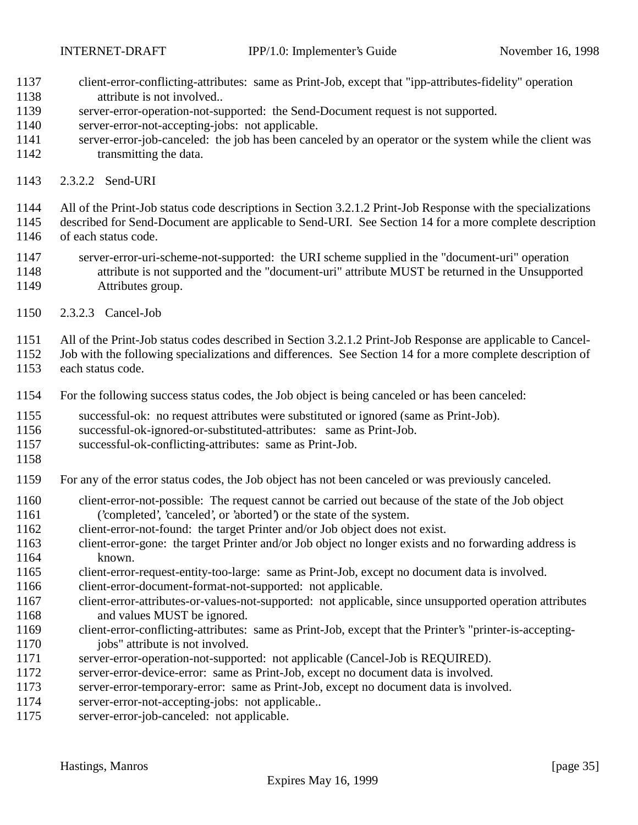- client-error-conflicting-attributes: same as Print-Job, except that "ipp-attributes-fidelity" operation attribute is not involved..
- server-error-operation-not-supported: the Send-Document request is not supported.
- server-error-not-accepting-jobs: not applicable.
- server-error-job-canceled: the job has been canceled by an operator or the system while the client was 1142 transmitting the data.
- 2.3.2.2 Send-URI
- All of the Print-Job status code descriptions in Section 3.2.1.2 Print-Job Response with the specializations
- described for Send-Document are applicable to Send-URI. See Section 14 for a more complete description of each status code.
- server-error-uri-scheme-not-supported: the URI scheme supplied in the "document-uri" operation attribute is not supported and the "document-uri" attribute MUST be returned in the Unsupported Attributes group.
- 2.3.2.3 Cancel-Job
- All of the Print-Job status codes described in Section 3.2.1.2 Print-Job Response are applicable to Cancel-
- Job with the following specializations and differences. See Section 14 for a more complete description of
- each status code.
- For the following success status codes, the Job object is being canceled or has been canceled:
- successful-ok: no request attributes were substituted or ignored (same as Print-Job).
- successful-ok-ignored-or-substituted-attributes: same as Print-Job.
- successful-ok-conflicting-attributes: same as Print-Job.
- 
- For any of the error status codes, the Job object has not been canceled or was previously canceled.
- client-error-not-possible: The request cannot be carried out because of the state of the Job object ('completed', 'canceled', or 'aborted') or the state of the system.
- client-error-not-found: the target Printer and/or Job object does not exist.
- client-error-gone: the target Printer and/or Job object no longer exists and no forwarding address is known.
- client-error-request-entity-too-large: same as Print-Job, except no document data is involved.
- client-error-document-format-not-supported: not applicable.
- client-error-attributes-or-values-not-supported: not applicable, since unsupported operation attributes 1168 and values MUST be ignored.
- client-error-conflicting-attributes: same as Print-Job, except that the Printer's "printer-is-accepting-1170 jobs" attribute is not involved.
- server-error-operation-not-supported: not applicable (Cancel-Job is REQUIRED).
- server-error-device-error: same as Print-Job, except no document data is involved.
- server-error-temporary-error: same as Print-Job, except no document data is involved.
- server-error-not-accepting-jobs: not applicable..
- server-error-job-canceled: not applicable.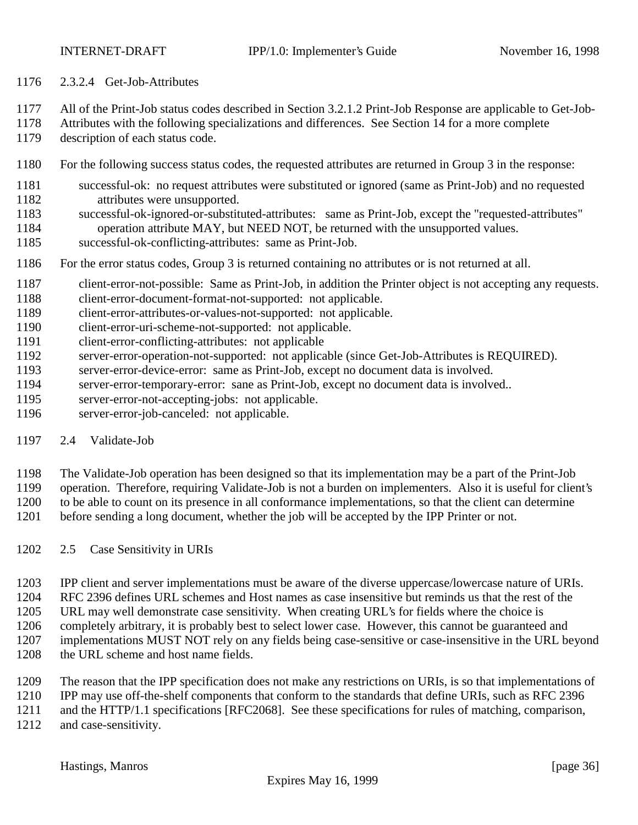- 2.3.2.4 Get-Job-Attributes
- All of the Print-Job status codes described in Section 3.2.1.2 Print-Job Response are applicable to Get-Job-
- Attributes with the following specializations and differences. See Section 14 for a more complete
- description of each status code.
- For the following success status codes, the requested attributes are returned in Group 3 in the response:
- successful-ok: no request attributes were substituted or ignored (same as Print-Job) and no requested attributes were unsupported.
- successful-ok-ignored-or-substituted-attributes: same as Print-Job, except the "requested-attributes" operation attribute MAY, but NEED NOT, be returned with the unsupported values.
- successful-ok-conflicting-attributes: same as Print-Job.
- For the error status codes, Group 3 is returned containing no attributes or is not returned at all.
- 1187 client-error-not-possible: Same as Print-Job, in addition the Printer object is not accepting any requests.
- client-error-document-format-not-supported: not applicable.
- client-error-attributes-or-values-not-supported: not applicable.
- client-error-uri-scheme-not-supported: not applicable.
- client-error-conflicting-attributes: not applicable
- server-error-operation-not-supported: not applicable (since Get-Job-Attributes is REQUIRED).
- server-error-device-error: same as Print-Job, except no document data is involved.
- server-error-temporary-error: sane as Print-Job, except no document data is involved..
- server-error-not-accepting-jobs: not applicable.
- server-error-job-canceled: not applicable.
- 2.4 Validate-Job
- The Validate-Job operation has been designed so that its implementation may be a part of the Print-Job
- operation. Therefore, requiring Validate-Job is not a burden on implementers. Also it is useful for client's
- to be able to count on its presence in all conformance implementations, so that the client can determine
- before sending a long document, whether the job will be accepted by the IPP Printer or not.
- 2.5 Case Sensitivity in URIs
- IPP client and server implementations must be aware of the diverse uppercase/lowercase nature of URIs.
- RFC 2396 defines URL schemes and Host names as case insensitive but reminds us that the rest of the
- URL may well demonstrate case sensitivity. When creating URL's for fields where the choice is
- completely arbitrary, it is probably best to select lower case. However, this cannot be guaranteed and
- implementations MUST NOT rely on any fields being case-sensitive or case-insensitive in the URL beyond
- 1208 the URL scheme and host name fields.
- The reason that the IPP specification does not make any restrictions on URIs, is so that implementations of
- IPP may use off-the-shelf components that conform to the standards that define URIs, such as RFC 2396
- and the HTTP/1.1 specifications [RFC2068]. See these specifications for rules of matching, comparison,
- and case-sensitivity.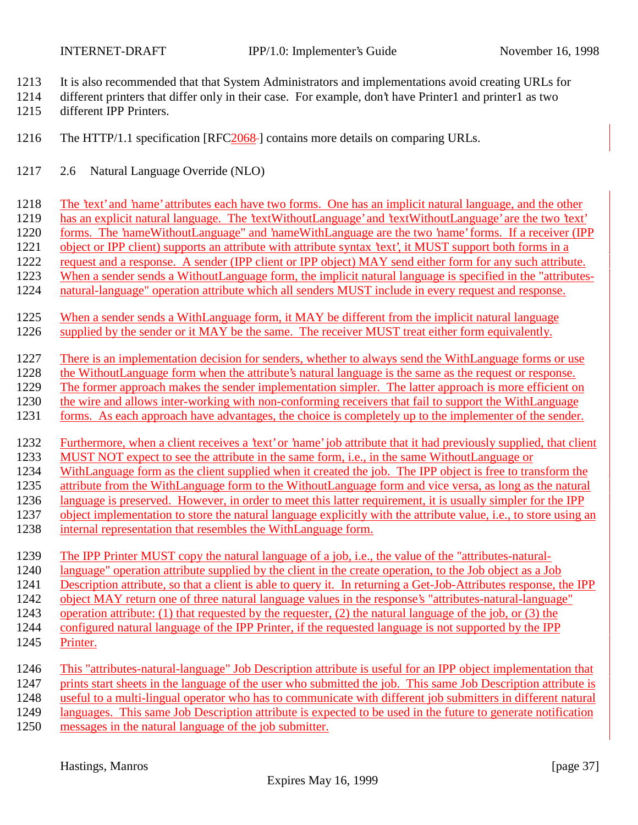- It is also recommended that that System Administrators and implementations avoid creating URLs for
- different printers that differ only in their case. For example, don't have Printer1 and printer1 as two different IPP Printers.
- The HTTP/1.1 specification [RFC2068 ] contains more details on comparing URLs.
- 2.6 Natural Language Override (NLO)
- The 'text' and 'name' attributes each have two forms. One has an implicit natural language, and the other
- has an explicit natural language. The 'textWithoutLanguage' and 'textWithoutLanguage' are the two 'text'
- forms. The 'nameWithoutLanguage" and 'nameWithLanguage are the two 'name' forms. If a receiver (IPP
- object or IPP client) supports an attribute with attribute syntax 'text', it MUST support both forms in a
- request and a response. A sender (IPP client or IPP object) MAY send either form for any such attribute.
- When a sender sends a WithoutLanguage form, the implicit natural language is specified in the "attributes-
- natural-language" operation attribute which all senders MUST include in every request and response.
- When a sender sends a WithLanguage form, it MAY be different from the implicit natural language
- supplied by the sender or it MAY be the same. The receiver MUST treat either form equivalently.
- There is an implementation decision for senders, whether to always send the WithLanguage forms or use
- the WithoutLanguage form when the attribute's natural language is the same as the request or response.
- The former approach makes the sender implementation simpler. The latter approach is more efficient on
- the wire and allows inter-working with non-conforming receivers that fail to support the WithLanguage
- forms. As each approach have advantages, the choice is completely up to the implementer of the sender.
- Furthermore, when a client receives a 'text' or 'name' job attribute that it had previously supplied, that client MUST NOT expect to see the attribute in the same form, i.e., in the same WithoutLanguage or
- WithLanguage form as the client supplied when it created the job. The IPP object is free to transform the
- attribute from the WithLanguage form to the WithoutLanguage form and vice versa, as long as the natural
- language is preserved. However, in order to meet this latter requirement, it is usually simpler for the IPP
- 1237 object implementation to store the natural language explicitly with the attribute value, i.e., to store using an
- internal representation that resembles the WithLanguage form.
- The IPP Printer MUST copy the natural language of a job, i.e., the value of the "attributes-natural-
- language" operation attribute supplied by the client in the create operation, to the Job object as a Job
- Description attribute, so that a client is able to query it. In returning a Get-Job-Attributes response, the IPP
- object MAY return one of three natural language values in the response's "attributes-natural-language"
- operation attribute: (1) that requested by the requester, (2) the natural language of the job, or (3) the
- configured natural language of the IPP Printer, if the requested language is not supported by the IPP
- Printer.
- This "attributes-natural-language" Job Description attribute is useful for an IPP object implementation that prints start sheets in the language of the user who submitted the job. This same Job Description attribute is useful to a multi-lingual operator who has to communicate with different job submitters in different natural languages. This same Job Description attribute is expected to be used in the future to generate notification
- messages in the natural language of the job submitter.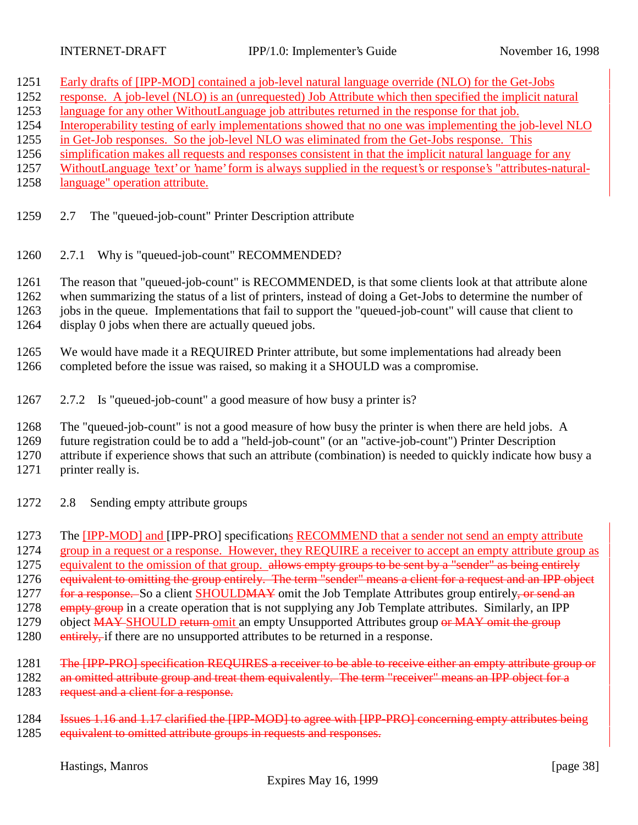- 1251 Early drafts of [IPP-MOD] contained a job-level natural language override (NLO) for the Get-Jobs
- 1252 response. A job-level (NLO) is an (unrequested) Job Attribute which then specified the implicit natural
- 1253 language for any other WithoutLanguage job attributes returned in the response for that job.
- 1254 Interoperability testing of early implementations showed that no one was implementing the job-level NLO
- 1255 in Get-Job responses. So the job-level NLO was eliminated from the Get-Jobs response. This
- 1256 simplification makes all requests and responses consistent in that the implicit natural language for any
- 1257 WithoutLanguage 'text' or 'name' form is always supplied in the request's or response's "attributes-natural-
- 1258 language" operation attribute.
- 1259 2.7 The "queued-job-count" Printer Description attribute
- 1260 2.7.1 Why is "queued-job-count" RECOMMENDED?

1261 The reason that "queued-job-count" is RECOMMENDED, is that some clients look at that attribute alone 1262 when summarizing the status of a list of printers, instead of doing a Get-Jobs to determine the number of 1263 jobs in the queue. Implementations that fail to support the "queued-job-count" will cause that client to

- 1264 display 0 jobs when there are actually queued jobs.
- 1265 We would have made it a REQUIRED Printer attribute, but some implementations had already been 1266 completed before the issue was raised, so making it a SHOULD was a compromise.
- 1267 2.7.2 Is "queued-job-count" a good measure of how busy a printer is?
- 1268 The "queued-job-count" is not a good measure of how busy the printer is when there are held jobs. A
- 1269 future registration could be to add a "held-job-count" (or an "active-job-count") Printer Description
- 1270 attribute if experience shows that such an attribute (combination) is needed to quickly indicate how busy a
- 1271 printer really is.
- 1272 2.8 Sending empty attribute groups
- 1273 The [IPP-MOD] and [IPP-PRO] specifications RECOMMEND that a sender not send an empty attribute 1274 group in a request or a response. However, they REQUIRE a receiver to accept an empty attribute group as 1275 equivalent to the omission of that group. allows empty groups to be sent by a "sender" as being entirely
- 1276 equivalent to omitting the group entirely. The term "sender" means a client for a request and an IPP object
- 1277 for a response. So a client SHOULDMAY omit the Job Template Attributes group entirely, or send an
- 1278 empty group in a create operation that is not supplying any Job Template attributes. Similarly, an IPP
- 1279 object MAY-SHOULD return-omit an empty Unsupported Attributes group or MAY omit the group
- 1280 entirely, if there are no unsupported attributes to be returned in a response.
- 1281 The [IPP-PRO] specification REQUIRES a receiver to be able to receive either an empty attribute group or
- 1282 an omitted attribute group and treat them equivalently. The term "receiver" means an IPP object for a 1283 request and a client for a response.
- 1284 Issues 1.16 and 1.17 clarified the [IPP-MOD] to agree with [IPP-PRO] concerning empty attributes being 1285 equivalent to omitted attribute groups in requests and responses.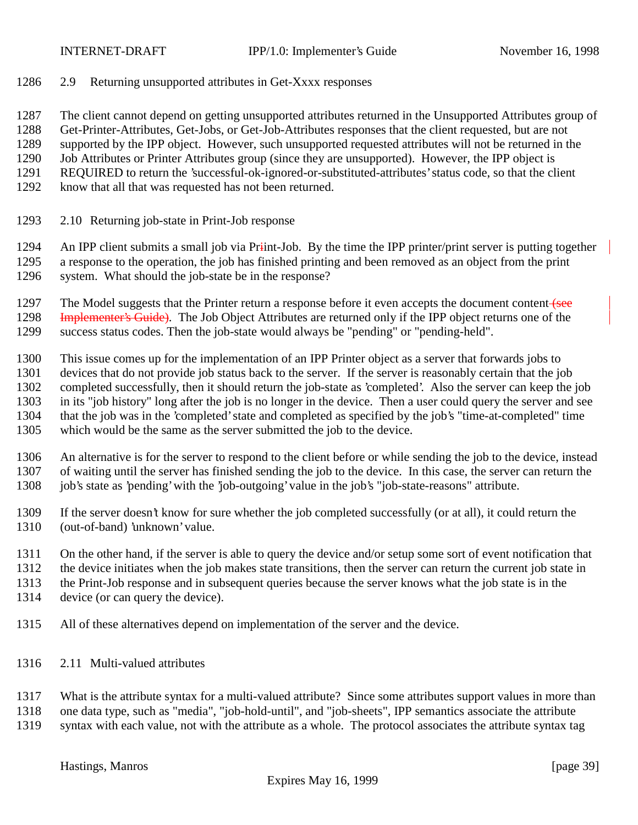2.9 Returning unsupported attributes in Get-Xxxx responses

The client cannot depend on getting unsupported attributes returned in the Unsupported Attributes group of

Get-Printer-Attributes, Get-Jobs, or Get-Job-Attributes responses that the client requested, but are not

supported by the IPP object. However, such unsupported requested attributes will not be returned in the

- Job Attributes or Printer Attributes group (since they are unsupported). However, the IPP object is REQUIRED to return the 'successful-ok-ignored-or-substituted-attributes' status code, so that the client
- know that all that was requested has not been returned.
- 2.10 Returning job-state in Print-Job response

1294 An IPP client submits a small job via Priint-Job. By the time the IPP printer/print server is putting together a response to the operation, the job has finished printing and been removed as an object from the print system. What should the job-state be in the response?

1297 The Model suggests that the Printer return a response before it even accepts the document content (see 1298 Implementer's Guide). The Job Object Attributes are returned only if the IPP object returns one of the success status codes. Then the job-state would always be "pending" or "pending-held".

 This issue comes up for the implementation of an IPP Printer object as a server that forwards jobs to devices that do not provide job status back to the server. If the server is reasonably certain that the job completed successfully, then it should return the job-state as 'completed'. Also the server can keep the job in its "job history" long after the job is no longer in the device. Then a user could query the server and see that the job was in the 'completed' state and completed as specified by the job's "time-at-completed" time which would be the same as the server submitted the job to the device.

 An alternative is for the server to respond to the client before or while sending the job to the device, instead of waiting until the server has finished sending the job to the device. In this case, the server can return the job's state as 'pending' with the 'job-outgoing' value in the job's "job-state-reasons" attribute.

- If the server doesn't know for sure whether the job completed successfully (or at all), it could return the (out-of-band) 'unknown' value.
- On the other hand, if the server is able to query the device and/or setup some sort of event notification that
- the device initiates when the job makes state transitions, then the server can return the current job state in
- the Print-Job response and in subsequent queries because the server knows what the job state is in the
- device (or can query the device).
- All of these alternatives depend on implementation of the server and the device.
- 2.11 Multi-valued attributes

What is the attribute syntax for a multi-valued attribute? Since some attributes support values in more than

one data type, such as "media", "job-hold-until", and "job-sheets", IPP semantics associate the attribute

syntax with each value, not with the attribute as a whole. The protocol associates the attribute syntax tag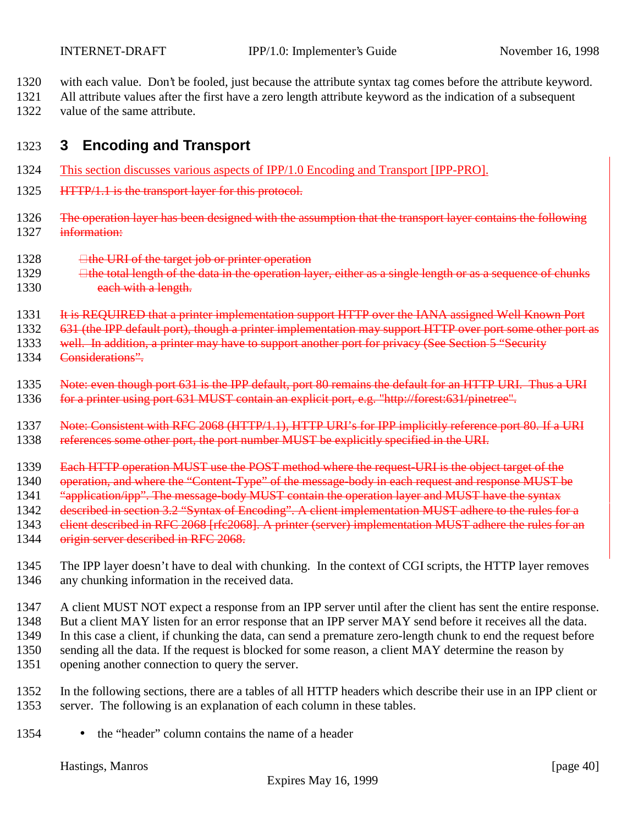1320 with each value. Don't be fooled, just because the attribute syntax tag comes before the attribute keyword.

1321 All attribute values after the first have a zero length attribute keyword as the indication of a subsequent 1322 value of the same attribute.

# 1323 **3 Encoding and Transport**

- 1324 This section discusses various aspects of IPP/1.0 Encoding and Transport [IPP-PRO].
- 1325 **HTTP/1.1** is the transport layer for this protocol.
- 1326 The operation layer has been designed with the assumption that the transport layer contains the following 1327 information:
- $1328$   $\qquad \qquad \Box$  the URI of the target job or printer operation
- 1329 **the total length of the data in the operation layer, either as a single length or as a sequence of chunks** 1330 each with a length.
- 1331 It is REQUIRED that a printer implementation support HTTP over the IANA assigned Well Known Port
- 1332 631 (the IPP default port), though a printer implementation may support HTTP over port some other port as
- 1333 well. In addition, a printer may have to support another port for privacy (See Section 5 "Security
- 1334 Considerations".
- 1335 Note: even though port 631 is the IPP default, port 80 remains the default for an HTTP URI. Thus a URI
- 1336 for a printer using port 631 MUST contain an explicit port, e.g. "http://forest:631/pinetree".
- 1337 Note: Consistent with RFC 2068 (HTTP/1.1), HTTP URI's for IPP implicitly reference port 80. If a URI
- 1338 references some other port, the port number MUST be explicitly specified in the URI.
- 1339 Each HTTP operation MUST use the POST method where the request-URI is the object target of the
- 1340 operation, and where the "Content-Type" of the message-body in each request and response MUST be
- 1341 "application/ipp". The message-body MUST contain the operation layer and MUST have the syntax
- 1342 described in section 3.2 "Syntax of Encoding". A client implementation MUST adhere to the rules for a
- 1343 client described in RFC 2068 [rfc2068]. A printer (server) implementation MUST adhere the rules for an
- 1344 origin server described in RFC 2068.
- 1345 The IPP layer doesn't have to deal with chunking. In the context of CGI scripts, the HTTP layer removes 1346 any chunking information in the received data.
- 1347 A client MUST NOT expect a response from an IPP server until after the client has sent the entire response. 1348 But a client MAY listen for an error response that an IPP server MAY send before it receives all the data. 1349 In this case a client, if chunking the data, can send a premature zero-length chunk to end the request before 1350 sending all the data. If the request is blocked for some reason, a client MAY determine the reason by 1351 opening another connection to query the server.
- 1352 In the following sections, there are a tables of all HTTP headers which describe their use in an IPP client or 1353 server. The following is an explanation of each column in these tables.
- 1354 the "header" column contains the name of a header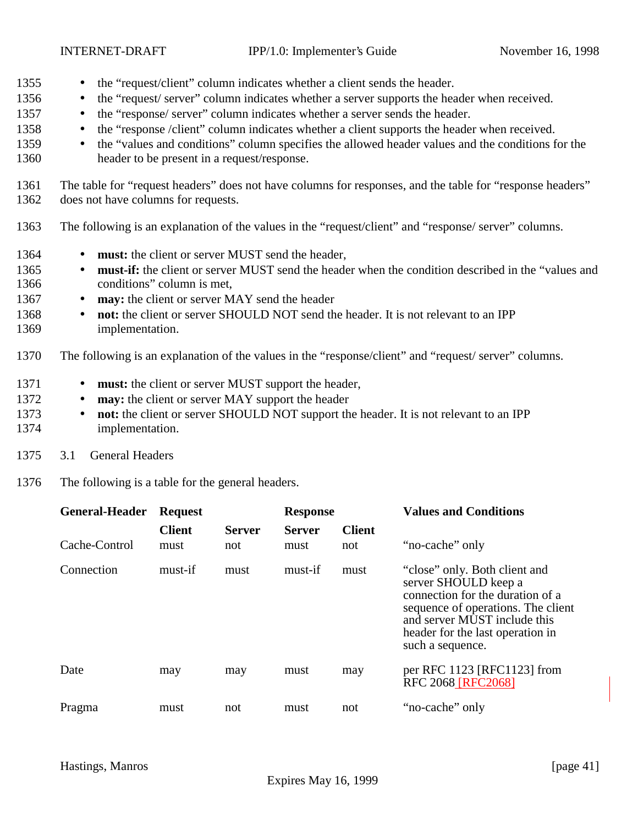- 1355 the "request/client" column indicates whether a client sends the header.
- 1356 the "request/ server" column indicates whether a server supports the header when received.
- 1357 the "response/ server" column indicates whether a server sends the header.
- 1358 the "response /client" column indicates whether a client supports the header when received.
- 1359 the "values and conditions" column specifies the allowed header values and the conditions for the 1360 header to be present in a request/response.
- 1361 The table for "request headers" does not have columns for responses, and the table for "response headers" 1362 does not have columns for requests.
- 1363 The following is an explanation of the values in the "request/client" and "response/ server" columns.
- 1364 **must:** the client or server MUST send the header,
- 1365 **must-if:** the client or server MUST send the header when the condition described in the "values and 1366 conditions" column is met,
- 1367 **may:** the client or server MAY send the header
- 1368 **not:** the client or server SHOULD NOT send the header. It is not relevant to an IPP 1369 implementation.
- 1370 The following is an explanation of the values in the "response/client" and "request/ server" columns.
- 1371 **must:** the client or server MUST support the header,
- 1372 **may:** the client or server MAY support the header
- 1373 **not:** the client or server SHOULD NOT support the header. It is not relevant to an IPP 1374 implementation.
- 1375 3.1 General Headers
- 1376 The following is a table for the general headers.

| <b>General-Header</b> | <b>Request</b>        |                      | <b>Response</b>       |                      | <b>Values and Conditions</b>                                                                                                                                                                                            |  |
|-----------------------|-----------------------|----------------------|-----------------------|----------------------|-------------------------------------------------------------------------------------------------------------------------------------------------------------------------------------------------------------------------|--|
| Cache-Control         | <b>Client</b><br>must | <b>Server</b><br>not | <b>Server</b><br>must | <b>Client</b><br>not | "no-cache" only                                                                                                                                                                                                         |  |
| Connection            | must-if               | must                 | must-if               | must                 | "close" only. Both client and<br>server SHOULD keep a<br>connection for the duration of a<br>sequence of operations. The client<br>and server MUST include this<br>header for the last operation in<br>such a sequence. |  |
| Date                  | may                   | may                  | must                  | may                  | per RFC 1123 [RFC1123] from<br><b>RFC 2068 [RFC2068]</b>                                                                                                                                                                |  |
| Pragma                | must                  | not                  | must                  | not                  | "no-cache" only                                                                                                                                                                                                         |  |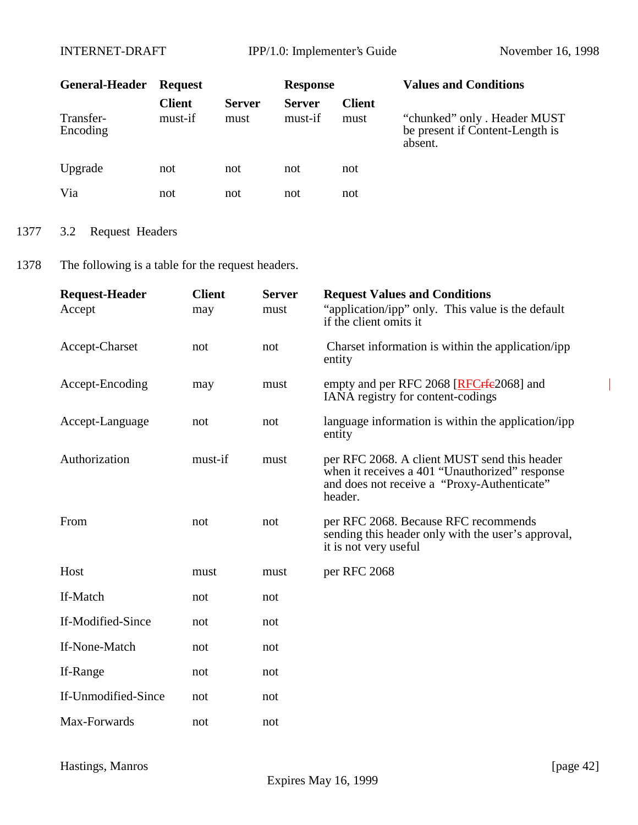| <b>General-Header</b> | <b>Request</b>           |                       | <b>Response</b>          |                       | <b>Values and Conditions</b>                                               |
|-----------------------|--------------------------|-----------------------|--------------------------|-----------------------|----------------------------------------------------------------------------|
| Transfer-<br>Encoding | <b>Client</b><br>must-if | <b>Server</b><br>must | <b>Server</b><br>must-if | <b>Client</b><br>must | "chunked" only . Header MUST<br>be present if Content-Length is<br>absent. |
| Upgrade               | not                      | not                   | not                      | not                   |                                                                            |
| Via                   | not                      | not                   | not                      | not                   |                                                                            |

# 1377 3.2 Request Headers

1378 The following is a table for the request headers.

| <b>Request-Header</b> | <b>Client</b> | <b>Server</b> | <b>Request Values and Conditions</b>                                                                                                                     |
|-----------------------|---------------|---------------|----------------------------------------------------------------------------------------------------------------------------------------------------------|
| Accept                | may           | must          | "application/ipp" only. This value is the default<br>if the client omits it                                                                              |
| Accept-Charset        | not           | not           | Charset information is within the application/ipp<br>entity                                                                                              |
| Accept-Encoding       | may           | must          | empty and per RFC 2068 [RFC rfe 2068] and<br>IANA registry for content-codings                                                                           |
| Accept-Language       | not           | not           | language information is within the application/ipp<br>entity                                                                                             |
| Authorization         | must-if       | must          | per RFC 2068. A client MUST send this header<br>when it receives a 401 "Unauthorized" response<br>and does not receive a "Proxy-Authenticate"<br>header. |
| From                  | not           | not           | per RFC 2068. Because RFC recommends<br>sending this header only with the user's approval,<br>it is not very useful                                      |
| Host                  | must          | must          | per RFC 2068                                                                                                                                             |
| If-Match              | not           | not           |                                                                                                                                                          |
| If-Modified-Since     | not           | not           |                                                                                                                                                          |
| If-None-Match         | not           | not           |                                                                                                                                                          |
| If-Range              | not           | not           |                                                                                                                                                          |
| If-Unmodified-Since   | not           | not           |                                                                                                                                                          |
| Max-Forwards          | not           | not           |                                                                                                                                                          |

 $\overline{\phantom{a}}$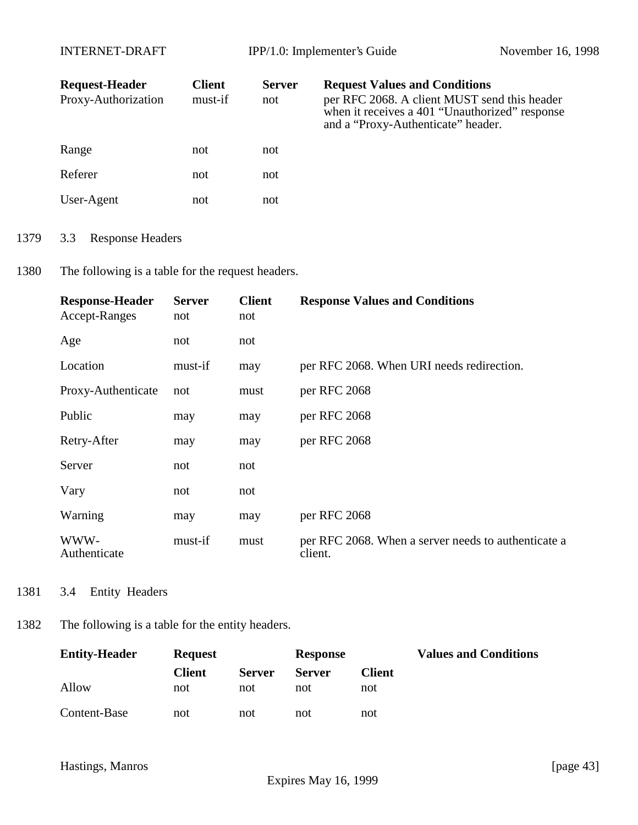| <b>Request-Header</b><br>Proxy-Authorization | <b>Client</b><br>must-if | <b>Server</b><br>not | <b>Request Values and Conditions</b><br>per RFC 2068. A client MUST send this header<br>when it receives a 401 "Unauthorized" response<br>and a "Proxy-Authenticate" header. |
|----------------------------------------------|--------------------------|----------------------|------------------------------------------------------------------------------------------------------------------------------------------------------------------------------|
| Range                                        | not                      | not                  |                                                                                                                                                                              |
| Referer                                      | not                      | not                  |                                                                                                                                                                              |
| User-Agent                                   | not                      | not                  |                                                                                                                                                                              |

- 1379 3.3 Response Headers
- 1380 The following is a table for the request headers.

| <b>Response-Header</b><br>Accept-Ranges | <b>Server</b><br>not | <b>Client</b><br>not | <b>Response Values and Conditions</b>                          |
|-----------------------------------------|----------------------|----------------------|----------------------------------------------------------------|
| Age                                     | not                  | not                  |                                                                |
| Location                                | must-if              | may                  | per RFC 2068. When URI needs redirection.                      |
| Proxy-Authenticate                      | not                  | must                 | per RFC 2068                                                   |
| Public                                  | may                  | may                  | per RFC 2068                                                   |
| Retry-After                             | may                  | may                  | per RFC 2068                                                   |
| Server                                  | not                  | not                  |                                                                |
| Vary                                    | not                  | not                  |                                                                |
| Warning                                 | may                  | may                  | per RFC 2068                                                   |
| WWW-<br>Authenticate                    | must-if              | must                 | per RFC 2068. When a server needs to authenticate a<br>client. |

1381 3.4 Entity Headers

# 1382 The following is a table for the entity headers.

| <b>Entity-Header</b> | <b>Request</b> |               | <b>Response</b> |        | <b>Values and Conditions</b> |
|----------------------|----------------|---------------|-----------------|--------|------------------------------|
|                      | <b>Client</b>  | <b>Server</b> | <b>Server</b>   | Client |                              |
| Allow                | not            | not           | not             | not    |                              |
| Content-Base         | not            | not           | not             | not    |                              |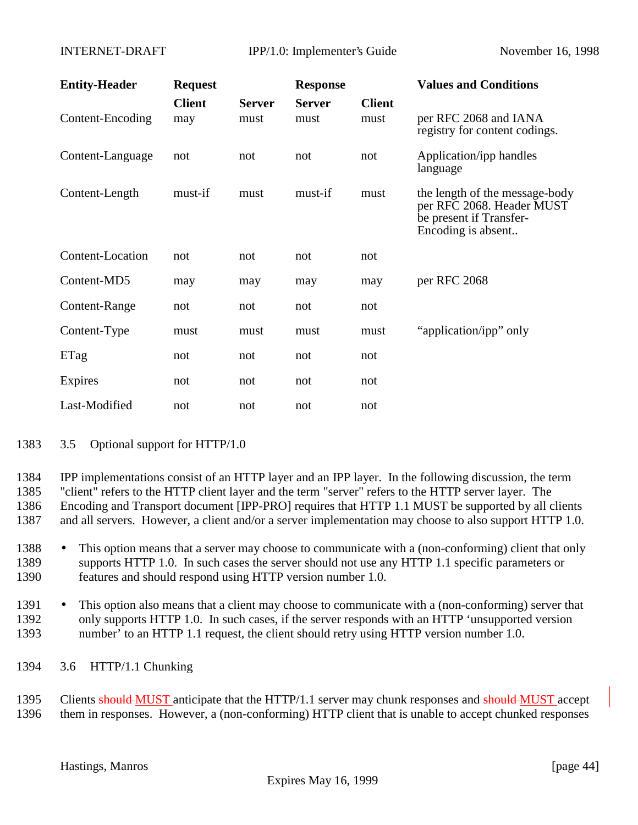| <b>Entity-Header</b> | <b>Request</b>       |                       | <b>Response</b>       |                       | <b>Values and Conditions</b>                                                                                 |
|----------------------|----------------------|-----------------------|-----------------------|-----------------------|--------------------------------------------------------------------------------------------------------------|
| Content-Encoding     | <b>Client</b><br>may | <b>Server</b><br>must | <b>Server</b><br>must | <b>Client</b><br>must | per RFC 2068 and IANA<br>registry for content codings.                                                       |
| Content-Language     | not                  | not                   | not                   | not                   | Application/ipp handles<br>language                                                                          |
| Content-Length       | must-if              | must                  | must-if               | must                  | the length of the message-body<br>per RFC 2068. Header MUST<br>be present if Transfer-<br>Encoding is absent |
| Content-Location     | not                  | not                   | not                   | not                   |                                                                                                              |
| Content-MD5          | may                  | may                   | may                   | may                   | per RFC 2068                                                                                                 |
| Content-Range        | not                  | not                   | not                   | not                   |                                                                                                              |
| Content-Type         | must                 | must                  | must                  | must                  | "application/ipp" only                                                                                       |
| ETag                 | not                  | not                   | not                   | not                   |                                                                                                              |
| Expires              | not                  | not                   | not                   | not                   |                                                                                                              |
| Last-Modified        | not                  | not                   | not                   | not                   |                                                                                                              |

#### 1383 3.5 Optional support for HTTP/1.0

 IPP implementations consist of an HTTP layer and an IPP layer. In the following discussion, the term "client" refers to the HTTP client layer and the term "server" refers to the HTTP server layer. The Encoding and Transport document [IPP-PRO] requires that HTTP 1.1 MUST be supported by all clients and all servers. However, a client and/or a server implementation may choose to also support HTTP 1.0.

- 1388 This option means that a server may choose to communicate with a (non-conforming) client that only 1389 supports HTTP 1.0. In such cases the server should not use any HTTP 1.1 specific parameters or 1390 features and should respond using HTTP version number 1.0.
- 1391 This option also means that a client may choose to communicate with a (non-conforming) server that 1392 only supports HTTP 1.0. In such cases, if the server responds with an HTTP 'unsupported version 1393 number' to an HTTP 1.1 request, the client should retry using HTTP version number 1.0.
- 1394 3.6 HTTP/1.1 Chunking

1395 Clients should MUST anticipate that the HTTP/1.1 server may chunk responses and should MUST accept 1396 them in responses. However, a (non-conforming) HTTP client that is unable to accept chunked responses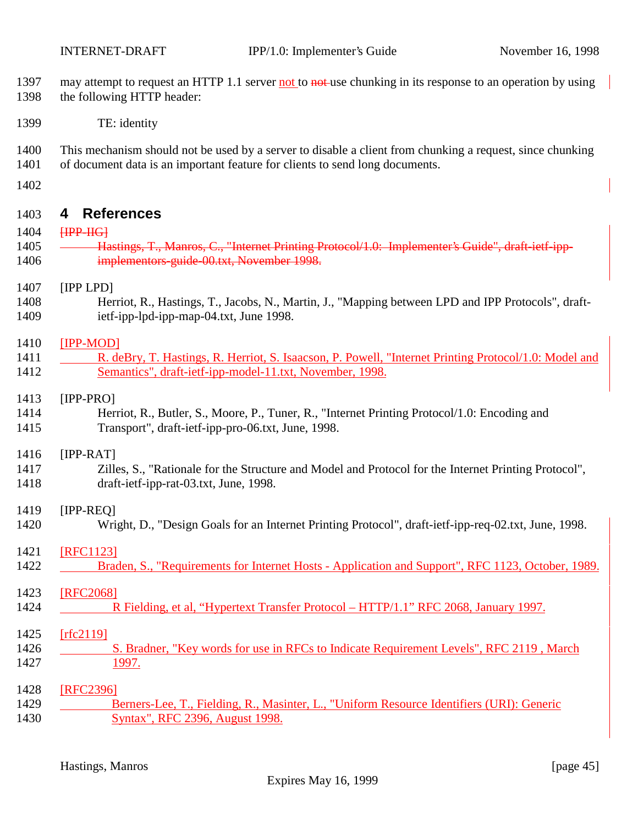- 1397 may attempt to request an HTTP 1.1 server not to not use chunking in its response to an operation by using the following HTTP header:
- TE: identity
- This mechanism should not be used by a server to disable a client from chunking a request, since chunking
- of document data is an important feature for clients to send long documents.
- 

# **4 References**

- **[IPP-IIG]**
- **Hastings, T., Manros, C., "Internet Printing Protocol/1.0: Implementer's Guide", draft-ietf-ipp-**implementors-guide-00.txt, November 1998.

## [IPP LPD]

 Herriot, R., Hastings, T., Jacobs, N., Martin, J., "Mapping between LPD and IPP Protocols", draft-ietf-ipp-lpd-ipp-map-04.txt, June 1998.

## [IPP-MOD]

1411 R. deBry, T. Hastings, R. Herriot, S. Isaacson, P. Powell, "Internet Printing Protocol/1.0: Model and Semantics", draft-ietf-ipp-model-11.txt, November, 1998.

## [IPP-PRO]

 Herriot, R., Butler, S., Moore, P., Tuner, R., "Internet Printing Protocol/1.0: Encoding and Transport", draft-ietf-ipp-pro-06.txt, June, 1998.

### [IPP-RAT]

 Zilles, S., "Rationale for the Structure and Model and Protocol for the Internet Printing Protocol", draft-ietf-ipp-rat-03.txt, June, 1998.

## [IPP-REQ]

Wright, D., "Design Goals for an Internet Printing Protocol", draft-ietf-ipp-req-02.txt, June, 1998.

## [RFC1123]

- 1422 Braden, S., "Requirements for Internet Hosts Application and Support", RFC 1123, October, 1989.
- [RFC2068] 1424 R Fielding, et al, "Hypertext Transfer Protocol – HTTP/1.1" RFC 2068, January 1997.
- [rfc2119] 1426 S. Bradner, "Key words for use in RFCs to Indicate Requirement Levels", RFC 2119 , March 1997.

#### [RFC2396] 1429 Berners-Lee, T., Fielding, R., Masinter, L., "Uniform Resource Identifiers (URI): Generic Syntax", RFC 2396, August 1998.